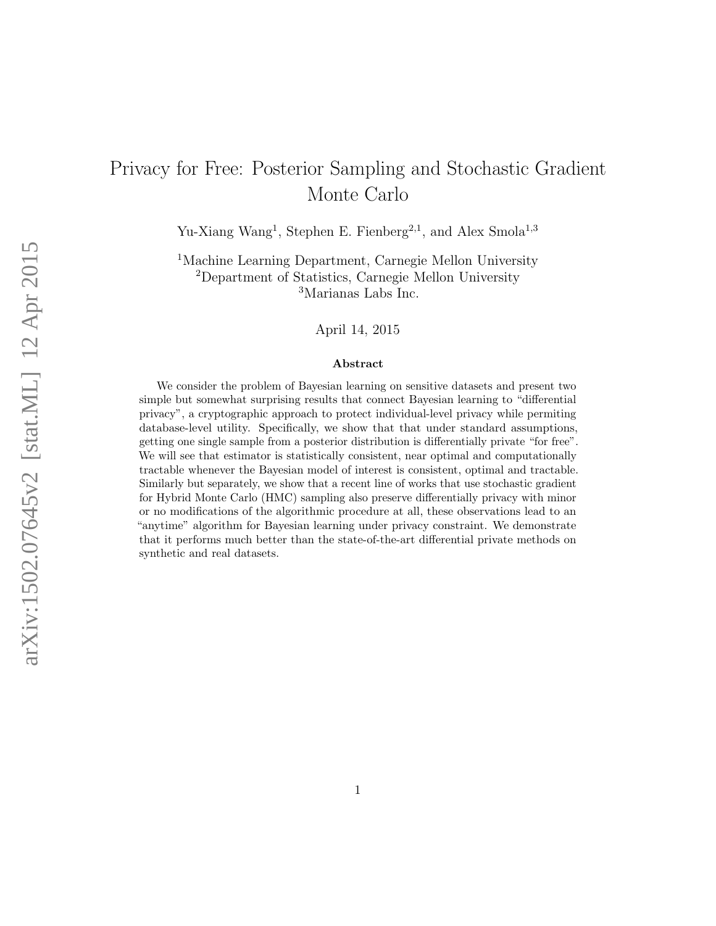# Privacy for Free: Posterior Sampling and Stochastic Gradient Monte Carlo

Yu-Xiang Wang<sup>1</sup>, Stephen E. Fienberg<sup>2,1</sup>, and Alex Smola<sup>1,3</sup>

<sup>1</sup>Machine Learning Department, Carnegie Mellon University <sup>2</sup>Department of Statistics, Carnegie Mellon University <sup>3</sup>Marianas Labs Inc.

April 14, 2015

#### Abstract

We consider the problem of Bayesian learning on sensitive datasets and present two simple but somewhat surprising results that connect Bayesian learning to "differential privacy", a cryptographic approach to protect individual-level privacy while permiting database-level utility. Specifically, we show that that under standard assumptions, getting one single sample from a posterior distribution is differentially private "for free". We will see that estimator is statistically consistent, near optimal and computationally tractable whenever the Bayesian model of interest is consistent, optimal and tractable. Similarly but separately, we show that a recent line of works that use stochastic gradient for Hybrid Monte Carlo (HMC) sampling also preserve differentially privacy with minor or no modifications of the algorithmic procedure at all, these observations lead to an "anytime" algorithm for Bayesian learning under privacy constraint. We demonstrate that it performs much better than the state-of-the-art differential private methods on synthetic and real datasets.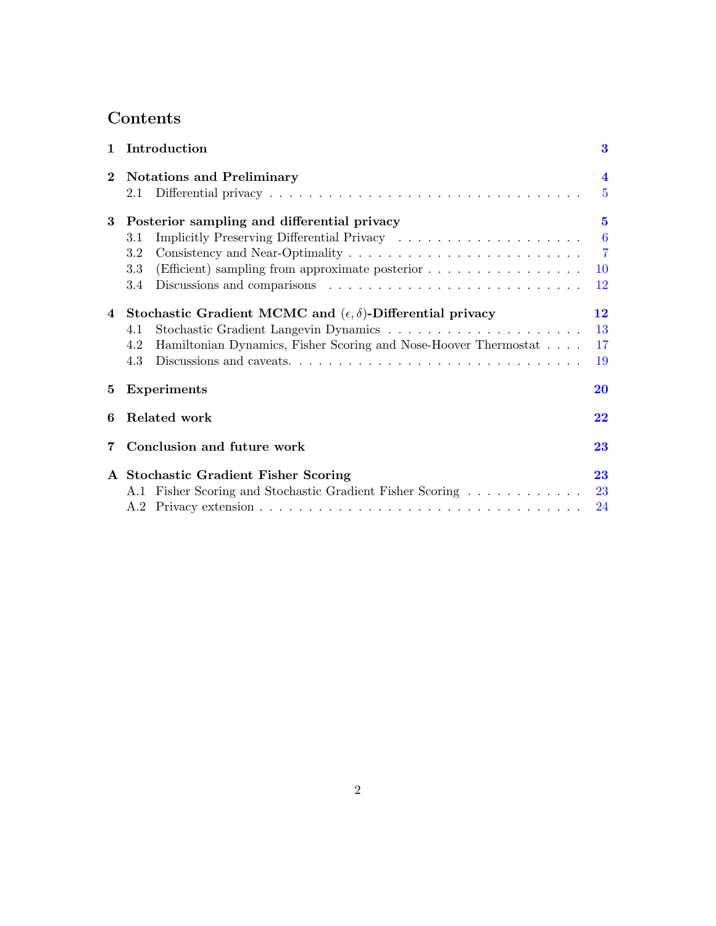# Contents

| $\mathbf{1}$   | Introduction                                                                                                                                                    | 3                                                                |
|----------------|-----------------------------------------------------------------------------------------------------------------------------------------------------------------|------------------------------------------------------------------|
| $\mathbf 2$    | <b>Notations and Preliminary</b><br>2.1                                                                                                                         | $\overline{\mathbf{4}}$<br>$\overline{5}$                        |
| 3              | Posterior sampling and differential privacy<br>3.1<br>3.2<br>(Efficient) sampling from approximate posterior<br>3.3<br>3.4                                      | $\bf{5}$<br>$6\phantom{1}6$<br>$\overline{7}$<br><b>10</b><br>12 |
| $\overline{4}$ | Stochastic Gradient MCMC and $(\epsilon, \delta)$ -Differential privacy<br>4.1<br>Hamiltonian Dynamics, Fisher Scoring and Nose-Hoover Thermostat<br>4.2<br>4.3 | 12<br>13<br>17<br>19                                             |
| 5.             | <b>Experiments</b>                                                                                                                                              | 20                                                               |
| 6              | Related work                                                                                                                                                    | 22                                                               |
| 7              | Conclusion and future work                                                                                                                                      | 23                                                               |
|                | A Stochastic Gradient Fisher Scoring<br>A.1 Fisher Scoring and Stochastic Gradient Fisher Scoring                                                               | 23<br>23<br>24                                                   |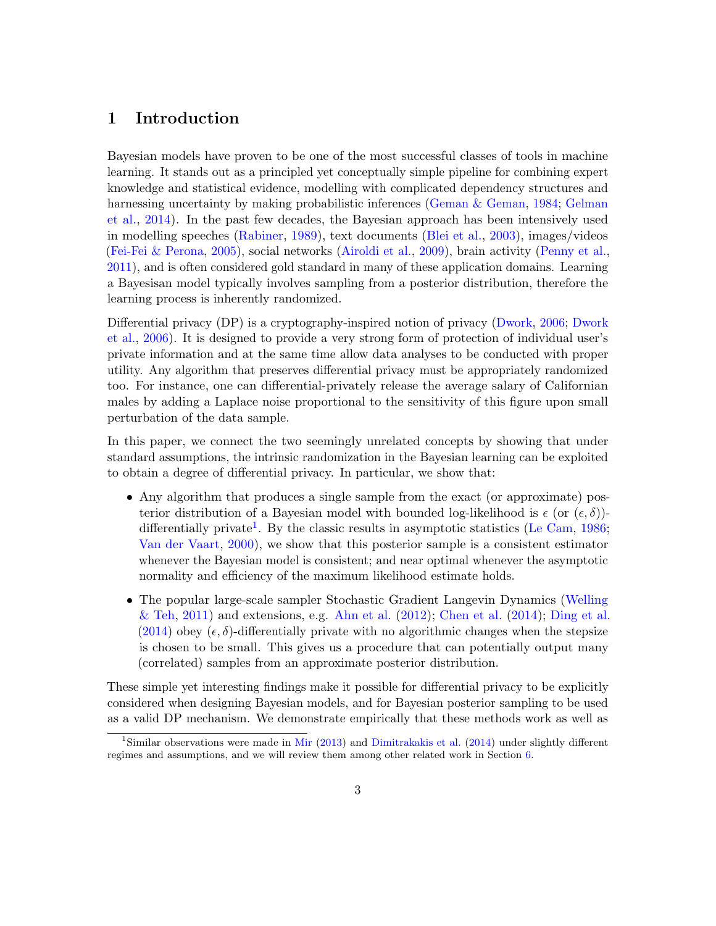# <span id="page-2-0"></span>1 Introduction

Bayesian models have proven to be one of the most successful classes of tools in machine learning. It stands out as a principled yet conceptually simple pipeline for combining expert knowledge and statistical evidence, modelling with complicated dependency structures and harnessing uncertainty by making probabilistic inferences [\(Geman & Geman,](#page-27-0) [1984;](#page-27-0) [Gelman](#page-27-1) [et al.,](#page-27-1) [2014\)](#page-27-1). In the past few decades, the Bayesian approach has been intensively used in modelling speeches [\(Rabiner,](#page-28-0) [1989\)](#page-28-0), text documents [\(Blei et al.,](#page-26-0) [2003\)](#page-26-0), images/videos [\(Fei-Fei & Perona,](#page-27-2) [2005\)](#page-27-2), social networks [\(Airoldi et al.,](#page-26-1) [2009\)](#page-26-1), brain activity [\(Penny et al.,](#page-28-1) [2011\)](#page-28-1), and is often considered gold standard in many of these application domains. Learning a Bayesisan model typically involves sampling from a posterior distribution, therefore the learning process is inherently randomized.

Differential privacy (DP) is a cryptography-inspired notion of privacy [\(Dwork,](#page-26-2) [2006;](#page-26-2) [Dwork](#page-27-3) [et al.,](#page-27-3) [2006\)](#page-27-3). It is designed to provide a very strong form of protection of individual user's private information and at the same time allow data analyses to be conducted with proper utility. Any algorithm that preserves differential privacy must be appropriately randomized too. For instance, one can differential-privately release the average salary of Californian males by adding a Laplace noise proportional to the sensitivity of this figure upon small perturbation of the data sample.

In this paper, we connect the two seemingly unrelated concepts by showing that under standard assumptions, the intrinsic randomization in the Bayesian learning can be exploited to obtain a degree of differential privacy. In particular, we show that:

- Any algorithm that produces a single sample from the exact (or approximate) posterior distribution of a Bayesian model with bounded log-likelihood is  $\epsilon$  (or  $(\epsilon, \delta)$ )-differentially private<sup>[1](#page-2-1)</sup>. By the classic results in asymptotic statistics [\(Le Cam,](#page-27-4)  $1986$ ; [Van der Vaart,](#page-29-0) [2000\)](#page-29-0), we show that this posterior sample is a consistent estimator whenever the Bayesian model is consistent; and near optimal whenever the asymptotic normality and efficiency of the maximum likelihood estimate holds.
- The popular large-scale sampler Stochastic Gradient Langevin Dynamics [\(Welling](#page-29-1)  $\&$  Teh, [2011\)](#page-29-1) and extensions, e.g. [Ahn et al.](#page-26-3) [\(2012\)](#page-26-3); [Chen et al.](#page-26-4) [\(2014\)](#page-26-4); [Ding et al.](#page-26-5) [\(2014\)](#page-26-5) obey  $(\epsilon, \delta)$ -differentially private with no algorithmic changes when the stepsize is chosen to be small. This gives us a procedure that can potentially output many (correlated) samples from an approximate posterior distribution.

These simple yet interesting findings make it possible for differential privacy to be explicitly considered when designing Bayesian models, and for Bayesian posterior sampling to be used as a valid DP mechanism. We demonstrate empirically that these methods work as well as

<span id="page-2-1"></span><sup>&</sup>lt;sup>1</sup>Similar observations were made in [Mir](#page-28-2) [\(2013\)](#page-28-2) and [Dimitrakakis et al.](#page-26-6) [\(2014\)](#page-26-6) under slightly different regimes and assumptions, and we will review them among other related work in Section [6.](#page-21-0)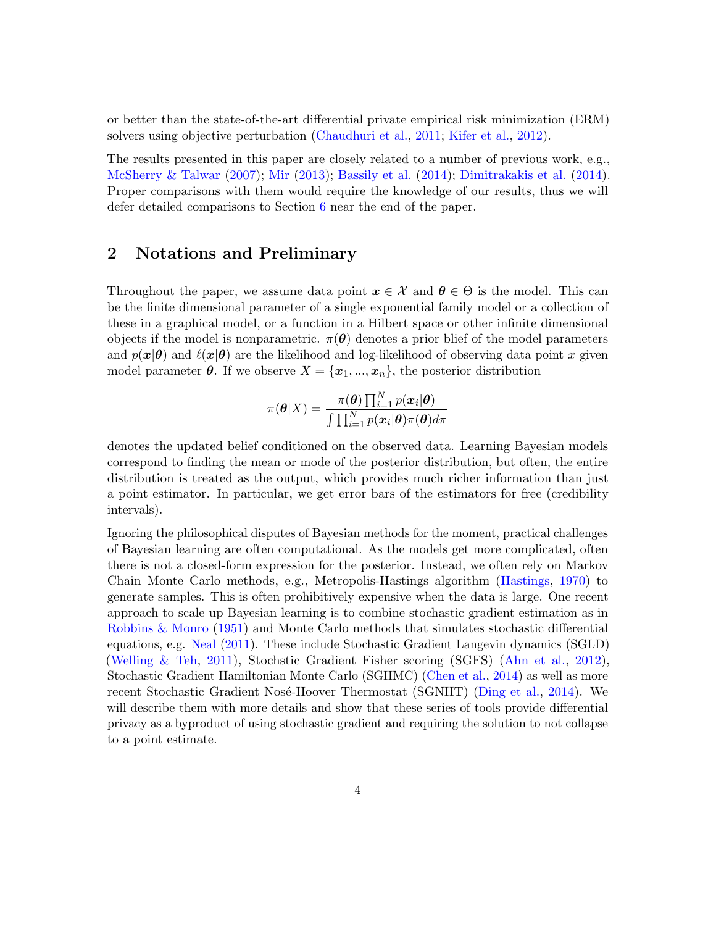or better than the state-of-the-art differential private empirical risk minimization (ERM) solvers using objective perturbation [\(Chaudhuri et al.,](#page-26-7) [2011;](#page-26-7) [Kifer et al.,](#page-27-5) [2012\)](#page-27-5).

The results presented in this paper are closely related to a number of previous work, e.g., [McSherry & Talwar](#page-28-3) [\(2007\)](#page-28-3); [Mir](#page-28-2) [\(2013\)](#page-28-2); [Bassily et al.](#page-26-8) [\(2014\)](#page-26-8); [Dimitrakakis et al.](#page-26-6) [\(2014\)](#page-26-6). Proper comparisons with them would require the knowledge of our results, thus we will defer detailed comparisons to Section [6](#page-21-0) near the end of the paper.

### <span id="page-3-0"></span>2 Notations and Preliminary

Throughout the paper, we assume data point  $x \in \mathcal{X}$  and  $\theta \in \Theta$  is the model. This can be the finite dimensional parameter of a single exponential family model or a collection of these in a graphical model, or a function in a Hilbert space or other infinite dimensional objects if the model is nonparametric.  $\pi(\theta)$  denotes a prior blief of the model parameters and  $p(x|\theta)$  and  $\ell(x|\theta)$  are the likelihood and log-likelihood of observing data point x given model parameter  $\theta$ . If we observe  $X = \{x_1, ..., x_n\}$ , the posterior distribution

$$
\pi(\boldsymbol{\theta}|X) = \frac{\pi(\boldsymbol{\theta}) \prod_{i=1}^N p(\boldsymbol{x}_i|\boldsymbol{\theta})}{\int \prod_{i=1}^N p(\boldsymbol{x}_i|\boldsymbol{\theta}) \pi(\boldsymbol{\theta}) d\pi}
$$

denotes the updated belief conditioned on the observed data. Learning Bayesian models correspond to finding the mean or mode of the posterior distribution, but often, the entire distribution is treated as the output, which provides much richer information than just a point estimator. In particular, we get error bars of the estimators for free (credibility intervals).

Ignoring the philosophical disputes of Bayesian methods for the moment, practical challenges of Bayesian learning are often computational. As the models get more complicated, often there is not a closed-form expression for the posterior. Instead, we often rely on Markov Chain Monte Carlo methods, e.g., Metropolis-Hastings algorithm [\(Hastings,](#page-27-6) [1970\)](#page-27-6) to generate samples. This is often prohibitively expensive when the data is large. One recent approach to scale up Bayesian learning is to combine stochastic gradient estimation as in [Robbins & Monro](#page-28-4) [\(1951\)](#page-28-4) and Monte Carlo methods that simulates stochastic differential equations, e.g. [Neal](#page-28-5) [\(2011\)](#page-28-5). These include Stochastic Gradient Langevin dynamics (SGLD) [\(Welling & Teh,](#page-29-1) [2011\)](#page-29-1), Stochstic Gradient Fisher scoring (SGFS) [\(Ahn et al.,](#page-26-3) [2012\)](#page-26-3), Stochastic Gradient Hamiltonian Monte Carlo (SGHMC) [\(Chen et al.,](#page-26-4) [2014\)](#page-26-4) as well as more recent Stochastic Gradient Nosé-Hoover Thermostat (SGNHT) [\(Ding et al.,](#page-26-5) [2014\)](#page-26-5). We will describe them with more details and show that these series of tools provide differential privacy as a byproduct of using stochastic gradient and requiring the solution to not collapse to a point estimate.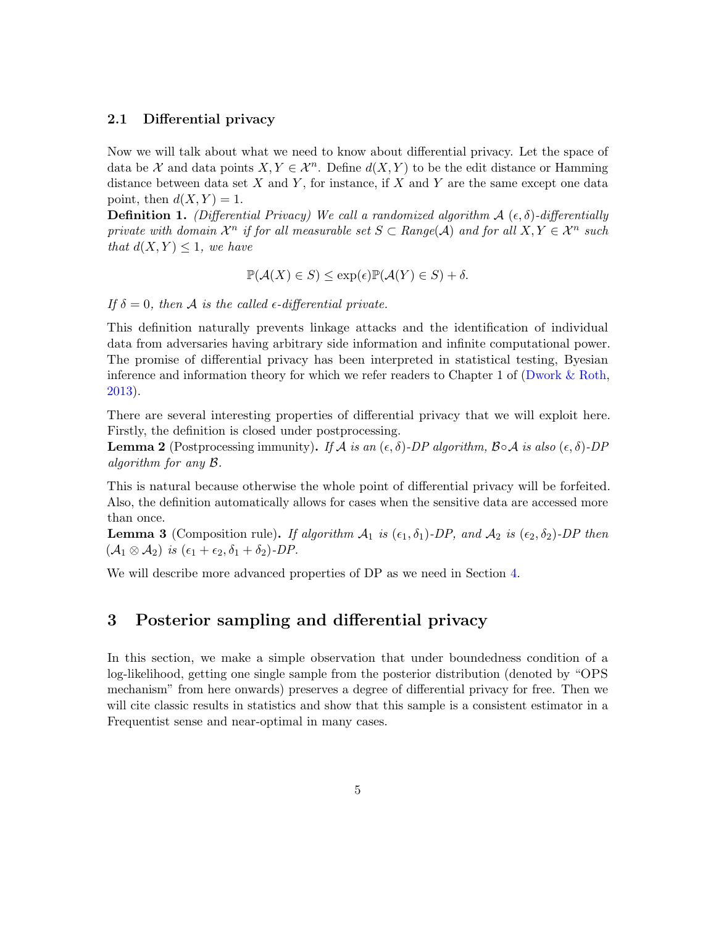### <span id="page-4-0"></span>2.1 Differential privacy

Now we will talk about what we need to know about differential privacy. Let the space of data be X and data points  $X, Y \in \mathcal{X}^n$ . Define  $d(X, Y)$  to be the edit distance or Hamming distance between data set  $X$  and  $Y$ , for instance, if  $X$  and  $Y$  are the same except one data point, then  $d(X, Y) = 1$ .

**Definition 1.** (Differential Privacy) We call a randomized algorithm  $\mathcal{A}(\epsilon, \delta)$ -differentially private with domain  $\mathcal{X}^n$  if for all measurable set  $S \subset Range(\mathcal{A})$  and for all  $X, Y \in \mathcal{X}^n$  such that  $d(X, Y) \leq 1$ , we have

$$
\mathbb{P}(\mathcal{A}(X) \in S) \le \exp(\epsilon)\mathbb{P}(\mathcal{A}(Y) \in S) + \delta.
$$

If  $\delta = 0$ , then A is the called  $\epsilon$ -differential private.

This definition naturally prevents linkage attacks and the identification of individual data from adversaries having arbitrary side information and infinite computational power. The promise of differential privacy has been interpreted in statistical testing, Byesian inference and information theory for which we refer readers to Chapter 1 of [\(Dwork & Roth,](#page-27-7) [2013\)](#page-27-7).

There are several interesting properties of differential privacy that we will exploit here. Firstly, the definition is closed under postprocessing.

**Lemma 2** (Postprocessing immunity). If A is an  $(\epsilon, \delta)$ -DP algorithm,  $\beta \circ A$  is also  $(\epsilon, \delta)$ -DP algorithm for any B.

This is natural because otherwise the whole point of differential privacy will be forfeited. Also, the definition automatically allows for cases when the sensitive data are accessed more than once.

**Lemma 3** (Composition rule). If algorithm  $A_1$  is  $(\epsilon_1, \delta_1)$ -DP, and  $A_2$  is  $(\epsilon_2, \delta_2)$ -DP then  $(\mathcal{A}_1 \otimes \mathcal{A}_2)$  is  $(\epsilon_1 + \epsilon_2, \delta_1 + \delta_2)$ -DP.

We will describe more advanced properties of DP as we need in Section [4.](#page-11-1)

## <span id="page-4-1"></span>3 Posterior sampling and differential privacy

In this section, we make a simple observation that under boundedness condition of a log-likelihood, getting one single sample from the posterior distribution (denoted by "OPS mechanism" from here onwards) preserves a degree of differential privacy for free. Then we will cite classic results in statistics and show that this sample is a consistent estimator in a Frequentist sense and near-optimal in many cases.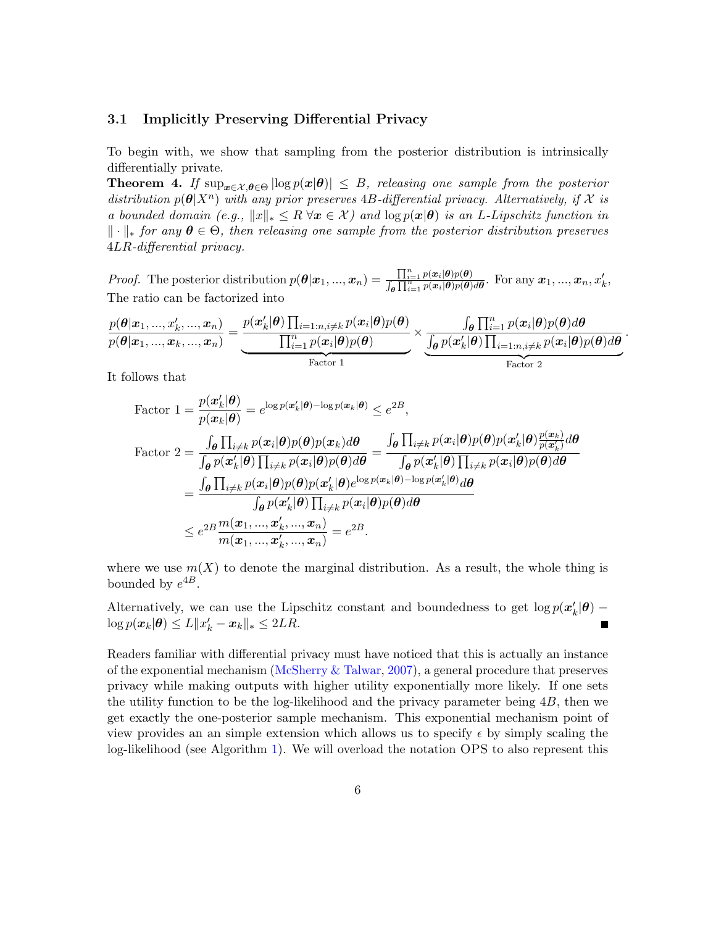#### <span id="page-5-0"></span>3.1 Implicitly Preserving Differential Privacy

To begin with, we show that sampling from the posterior distribution is intrinsically differentially private.

<span id="page-5-1"></span>**Theorem 4.** If  $\sup_{x \in \mathcal{X}, \theta \in \Theta} |\log p(x|\theta)| \leq B$ , releasing one sample from the posterior distribution  $p(\theta|X^n)$  with any prior preserves 4B-differential privacy. Alternatively, if X is a bounded domain (e.g.,  $||x||_* \leq R \forall x \in \mathcal{X}$ ) and  $\log p(x|\theta)$  is an L-Lipschitz function in  $\|\cdot\|_*$  for any  $\theta \in \Theta$ , then releasing one sample from the posterior distribution preserves 4LR-differential privacy.

*Proof.* The posterior distribution  $p(\theta | x_1, ..., x_n) = \frac{\prod_{i=1}^n p(x_i | \theta) p(\theta)}{\int_{\theta} \prod_{i=1}^n p(x_i | \theta) p(\theta) d\theta}$ . For any  $x_1, ..., x_n, x'_k$ , The ratio can be factorized into

$$
\frac{p(\boldsymbol{\theta}|\boldsymbol{x}_1, ..., \boldsymbol{x}'_k, ..., \boldsymbol{x}_n)}{p(\boldsymbol{\theta}|\boldsymbol{x}_1, ..., \boldsymbol{x}_k, ..., \boldsymbol{x}_n)} = \underbrace{\frac{p(\boldsymbol{x}'_k|\boldsymbol{\theta})\prod_{i=1:n, i\neq k}p(\boldsymbol{x}_i|\boldsymbol{\theta})p(\boldsymbol{\theta})}{\prod_{i=1}^n p(\boldsymbol{x}_i|\boldsymbol{\theta})p(\boldsymbol{\theta})}}_{Factor 1} \times \underbrace{\frac{\int_{\boldsymbol{\theta}}\prod_{i=1}^n p(\boldsymbol{x}_i|\boldsymbol{\theta})p(\boldsymbol{\theta})d\boldsymbol{\theta}}{\int_{\boldsymbol{\theta}}p(\boldsymbol{x}'_k|\boldsymbol{\theta})\prod_{i=1:n, i\neq k}p(\boldsymbol{x}_i|\boldsymbol{\theta})p(\boldsymbol{\theta})d\boldsymbol{\theta}}_{Factor 2}}
$$

.

It follows that

Factor 
$$
1 = \frac{p(\mathbf{x}_{k}'|\boldsymbol{\theta})}{p(\mathbf{x}_{k}|\boldsymbol{\theta})} = e^{\log p(\mathbf{x}_{k}'|\boldsymbol{\theta}) - \log p(\mathbf{x}_{k}|\boldsymbol{\theta})} \leq e^{2B},
$$
  
Factor 
$$
2 = \frac{\int_{\boldsymbol{\theta}} \prod_{i \neq k} p(\mathbf{x}_{i}|\boldsymbol{\theta}) p(\boldsymbol{\theta}) p(\mathbf{x}_{k}) d\boldsymbol{\theta}}{\int_{\boldsymbol{\theta}} p(\mathbf{x}_{k}'|\boldsymbol{\theta}) \prod_{i \neq k} p(\mathbf{x}_{i}|\boldsymbol{\theta}) p(\boldsymbol{\theta}) d\boldsymbol{\theta}} = \frac{\int_{\boldsymbol{\theta}} \prod_{i \neq k} p(\mathbf{x}_{i}|\boldsymbol{\theta}) p(\boldsymbol{\theta}) p(\mathbf{x}_{k}'|\boldsymbol{\theta}) \frac{p(\mathbf{x}_{k})}{p(\mathbf{x}_{k}'|\boldsymbol{\theta}) d\boldsymbol{\theta}}}{\int_{\boldsymbol{\theta}} p(\mathbf{x}_{k}'|\boldsymbol{\theta}) \prod_{i \neq k} p(\mathbf{x}_{i}|\boldsymbol{\theta}) p(\boldsymbol{\theta}) d\boldsymbol{\theta}} = \frac{\int_{\boldsymbol{\theta}} \prod_{i \neq k} p(\mathbf{x}_{i}|\boldsymbol{\theta}) p(\boldsymbol{\theta}) d\boldsymbol{\theta}}{\int_{\boldsymbol{\theta}} p(\mathbf{x}_{k}'|\boldsymbol{\theta}) \prod_{i \neq k} p(\mathbf{x}_{i}|\boldsymbol{\theta}) p(\boldsymbol{\theta}) d\boldsymbol{\theta}} = \frac{\int_{\boldsymbol{\theta}} \prod_{i \neq k} p(\mathbf{x}_{i}|\boldsymbol{\theta}) p(\boldsymbol{\theta}) p(\mathbf{x}'_{k}|\boldsymbol{\theta}) \prod_{i \neq k} p(\mathbf{x}_{i}|\boldsymbol{\theta}) p(\boldsymbol{\theta}) d\boldsymbol{\theta}}{\int_{\boldsymbol{\theta}} p(\mathbf{x}'_{k}|\boldsymbol{\theta}) \prod_{i \neq k} p(\mathbf{x}_{i}|\boldsymbol{\theta}) p(\boldsymbol{\theta}) d\boldsymbol{\theta}} = e^{2B}.
$$

where we use  $m(X)$  to denote the marginal distribution. As a result, the whole thing is bounded by  $e^{4B}$ .

Alternatively, we can use the Lipschitz constant and boundedness to get  $\log p(\mathbf{x}'_k|\boldsymbol{\theta})$  –  $\log p(\boldsymbol{x}_k|\boldsymbol{\theta}) \leq L \|x_k' - x_k\|_* \leq 2LR.$ Г

Readers familiar with differential privacy must have noticed that this is actually an instance of the exponential mechanism [\(McSherry & Talwar,](#page-28-3) [2007\)](#page-28-3), a general procedure that preserves privacy while making outputs with higher utility exponentially more likely. If one sets the utility function to be the log-likelihood and the privacy parameter being  $4B$ , then we get exactly the one-posterior sample mechanism. This exponential mechanism point of view provides an an simple extension which allows us to specify  $\epsilon$  by simply scaling the log-likelihood (see Algorithm [1\)](#page-6-1). We will overload the notation OPS to also represent this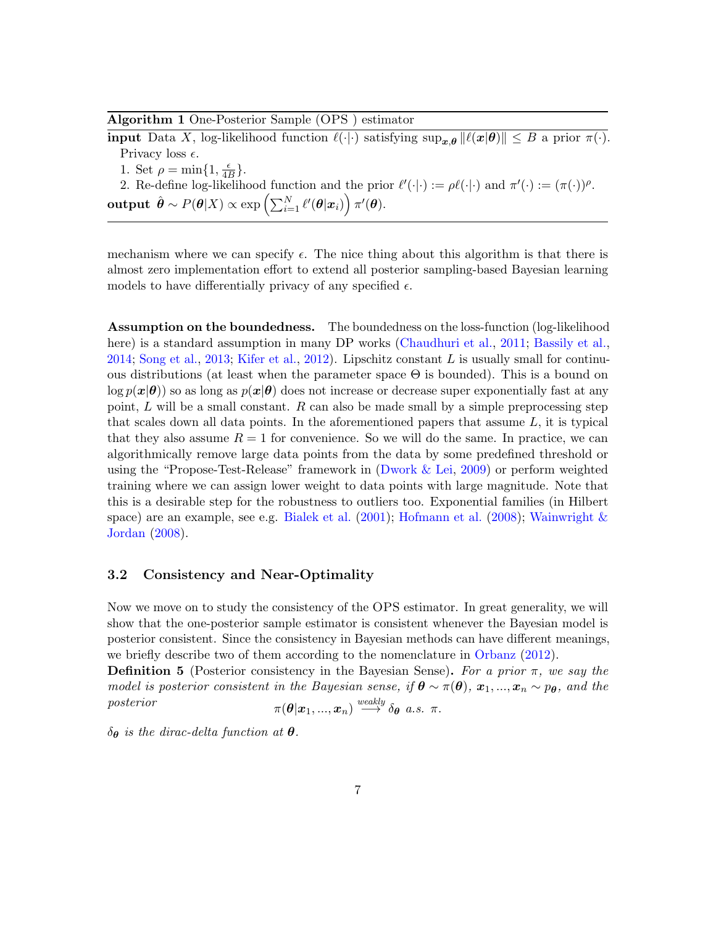<span id="page-6-1"></span>Algorithm 1 One-Posterior Sample (OPS ) estimator

**input** Data X, log-likelihood function  $\ell(\cdot|\cdot)$  satisfying  $\sup_{x,\theta} ||\ell(x|\theta)|| \leq B$  a prior  $\pi(\cdot)$ . Privacy loss  $\epsilon$ . 1. Set  $\rho = \min\{1, \frac{\epsilon}{4l}\}$  $\frac{\epsilon}{4B}$ . 2. Re-define log-likelihood function and the prior  $\ell'(\cdot|\cdot) := \rho \ell(\cdot|\cdot)$  and  $\pi'(\cdot) := (\pi(\cdot))^{\rho}$ .  $\textbf{output}~~ \hat{\boldsymbol{\theta}} \sim P(\boldsymbol{\theta}|X) \propto \exp\left(\sum_{i=1}^N \ell'(\boldsymbol{\theta}|\boldsymbol{x}_i)\right) \pi'(\boldsymbol{\theta}).$ 

mechanism where we can specify  $\epsilon$ . The nice thing about this algorithm is that there is almost zero implementation effort to extend all posterior sampling-based Bayesian learning models to have differentially privacy of any specified  $\epsilon$ .

Assumption on the boundedness. The boundedness on the loss-function (log-likelihood here) is a standard assumption in many DP works [\(Chaudhuri et al.,](#page-26-7) [2011;](#page-26-7) [Bassily et al.,](#page-26-8) [2014;](#page-26-8) [Song et al.,](#page-28-6) [2013;](#page-28-6) [Kifer et al.,](#page-27-5) [2012\)](#page-27-5). Lipschitz constant  $L$  is usually small for continuous distributions (at least when the parameter space  $\Theta$  is bounded). This is a bound on  $\log p(x|\theta)$  so as long as  $p(x|\theta)$  does not increase or decrease super exponentially fast at any point, L will be a small constant. R can also be made small by a simple preprocessing step that scales down all data points. In the aforementioned papers that assume  $L$ , it is typical that they also assume  $R = 1$  for convenience. So we will do the same. In practice, we can algorithmically remove large data points from the data by some predefined threshold or using the "Propose-Test-Release" framework in [\(Dwork & Lei,](#page-27-8) [2009\)](#page-27-8) or perform weighted training where we can assign lower weight to data points with large magnitude. Note that this is a desirable step for the robustness to outliers too. Exponential families (in Hilbert space) are an example, see e.g. [Bialek et al.](#page-26-9)  $(2001)$ ; [Hofmann et al.](#page-27-9)  $(2008)$ ; Wainwright  $\&$ [Jordan](#page-29-2) [\(2008\)](#page-29-2).

### <span id="page-6-0"></span>3.2 Consistency and Near-Optimality

Now we move on to study the consistency of the OPS estimator. In great generality, we will show that the one-posterior sample estimator is consistent whenever the Bayesian model is posterior consistent. Since the consistency in Bayesian methods can have different meanings, we briefly describe two of them according to the nomenclature in [Orbanz](#page-28-7) [\(2012\)](#page-28-7).

<span id="page-6-2"></span>**Definition 5** (Posterior consistency in the Bayesian Sense). For a prior  $\pi$ , we say the model is posterior consistent in the Bayesian sense, if  $\boldsymbol{\theta} \sim \pi(\boldsymbol{\theta})$ ,  $\boldsymbol{x}_1, ..., \boldsymbol{x}_n \sim p_{\boldsymbol{\theta}}$ , and the posterior  $\pi(\bm{\theta} \vert \bm{x}_1, ..., \bm{x}_n) \stackrel{weakly}{\longrightarrow} \delta_{\bm{\theta}} \ \ a.s. \ \ \pi.$ 

 $\delta_{\theta}$  is the dirac-delta function at  $\theta$ .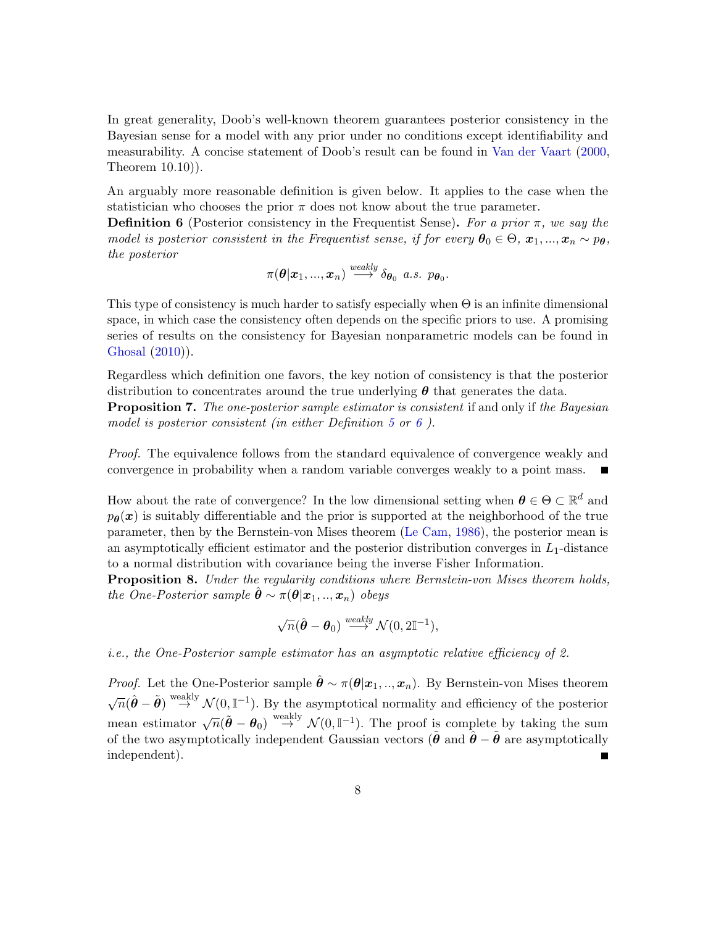In great generality, Doob's well-known theorem guarantees posterior consistency in the Bayesian sense for a model with any prior under no conditions except identifiability and measurability. A concise statement of Doob's result can be found in [Van der Vaart](#page-29-0) [\(2000,](#page-29-0) Theorem 10.10)).

An arguably more reasonable definition is given below. It applies to the case when the statistician who chooses the prior  $\pi$  does not know about the true parameter.

<span id="page-7-0"></span>**Definition 6** (Posterior consistency in the Frequentist Sense). For a prior  $\pi$ , we say the model is posterior consistent in the Frequentist sense, if for every  $\theta_0 \in \Theta$ ,  $x_1, ..., x_n \sim p_\theta$ , the posterior

$$
\pi(\boldsymbol{\theta}|\boldsymbol{x}_1,...,\boldsymbol{x}_n) \stackrel{\textit{weakly}}{\longrightarrow} \delta_{\boldsymbol{\theta}_0} \ \textit{a.s.} \ \ p_{\boldsymbol{\theta}_0}.
$$

This type of consistency is much harder to satisfy especially when  $\Theta$  is an infinite dimensional space, in which case the consistency often depends on the specific priors to use. A promising series of results on the consistency for Bayesian nonparametric models can be found in [Ghosal](#page-27-10) [\(2010\)](#page-27-10)).

Regardless which definition one favors, the key notion of consistency is that the posterior distribution to concentrates around the true underlying  $\theta$  that generates the data.

**Proposition 7.** The one-posterior sample estimator is consistent if and only if the Bayesian model is posterior consistent (in either Definition [5](#page-6-2) or [6](#page-7-0)).

Proof. The equivalence follows from the standard equivalence of convergence weakly and convergence in probability when a random variable converges weakly to a point mass.

How about the rate of convergence? In the low dimensional setting when  $\theta \in \Theta \subset \mathbb{R}^d$  and  $p_{\theta}(x)$  is suitably differentiable and the prior is supported at the neighborhood of the true parameter, then by the Bernstein-von Mises theorem [\(Le Cam,](#page-27-4) [1986\)](#page-27-4), the posterior mean is an asymptotically efficient estimator and the posterior distribution converges in  $L_1$ -distance to a normal distribution with covariance being the inverse Fisher Information.

<span id="page-7-1"></span>**Proposition 8.** Under the regularity conditions where Bernstein-von Mises theorem holds, the One-Posterior sample  $\ddot{\theta} \sim \pi(\theta|\mathbf{x}_1,..,\mathbf{x}_n)$  obeys

$$
\sqrt{n}(\hat{\boldsymbol{\theta}} - \boldsymbol{\theta}_0) \stackrel{\text{weakly}}{\longrightarrow} \mathcal{N}(0, 2\mathbb{I}^{-1}),
$$

i.e., the One-Posterior sample estimator has an asymptotic relative efficiency of 2.

*Proof.* Let the One-Posterior sample  $\hat{\theta} \sim \pi(\theta | x_1, ..., x_n)$ . By Bernstein-von Mises theorem  $\sqrt{n}(\hat{\theta}-\tilde{\theta}) \stackrel{\text{weakly}}{\rightarrow} \mathcal{N}(0,\mathbb{I}^{-1})$ . By the asymptotical normality and efficiency of the posterior mean estimator  $\sqrt{n}(\tilde{\theta} - \theta_0) \stackrel{\text{weakly}}{\rightarrow} \mathcal{N}(0, \mathbb{I}^{-1})$ . The proof is complete by taking the sum of the two asymptotically independent Gaussian vectors ( $\hat{\theta}$  and  $\hat{\theta} - \hat{\theta}$  are asymptotically independent).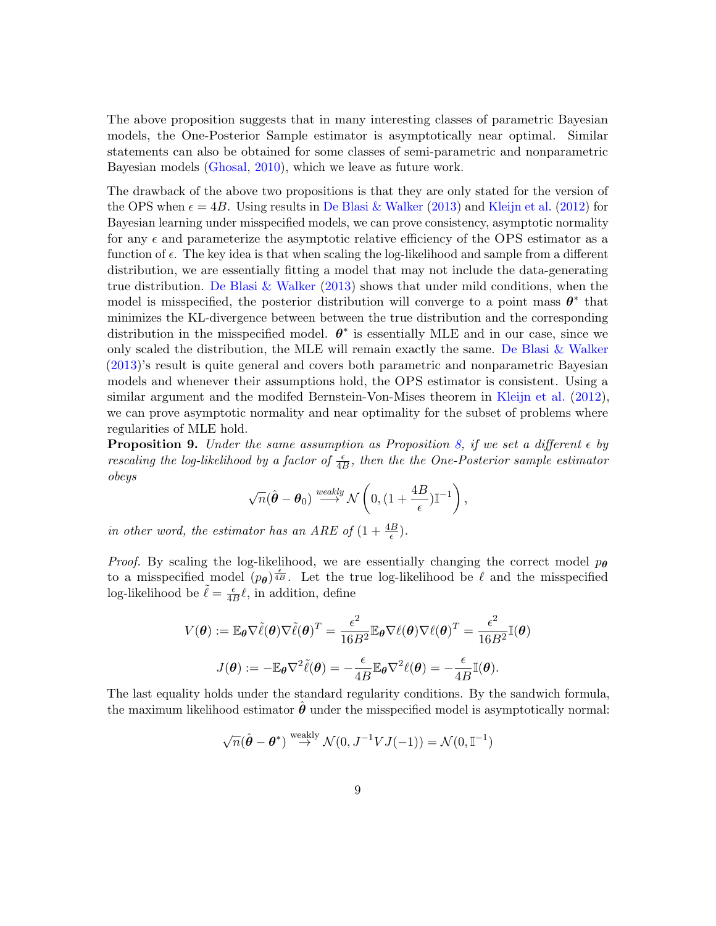The above proposition suggests that in many interesting classes of parametric Bayesian models, the One-Posterior Sample estimator is asymptotically near optimal. Similar statements can also be obtained for some classes of semi-parametric and nonparametric Bayesian models [\(Ghosal,](#page-27-10) [2010\)](#page-27-10), which we leave as future work.

The drawback of the above two propositions is that they are only stated for the version of the OPS when  $\epsilon = 4B$ . Using results in [De Blasi & Walker](#page-26-10) [\(2013\)](#page-26-10) and [Kleijn et al.](#page-27-11) [\(2012\)](#page-27-11) for Bayesian learning under misspecified models, we can prove consistency, asymptotic normality for any  $\epsilon$  and parameterize the asymptotic relative efficiency of the OPS estimator as a function of  $\epsilon$ . The key idea is that when scaling the log-likelihood and sample from a different distribution, we are essentially fitting a model that may not include the data-generating true distribution. [De Blasi & Walker](#page-26-10) [\(2013\)](#page-26-10) shows that under mild conditions, when the model is misspecified, the posterior distribution will converge to a point mass  $\theta^*$  that minimizes the KL-divergence between between the true distribution and the corresponding distribution in the misspecified model.  $\theta^*$  is essentially MLE and in our case, since we only scaled the distribution, the MLE will remain exactly the same. [De Blasi & Walker](#page-26-10) [\(2013\)](#page-26-10)'s result is quite general and covers both parametric and nonparametric Bayesian models and whenever their assumptions hold, the OPS estimator is consistent. Using a similar argument and the modifed Bernstein-Von-Mises theorem in [Kleijn et al.](#page-27-11) [\(2012\)](#page-27-11), we can prove asymptotic normality and near optimality for the subset of problems where regularities of MLE hold.

<span id="page-8-0"></span>**Proposition 9.** Under the same assumption as Proposition [8,](#page-7-1) if we set a different  $\epsilon$  by rescaling the log-likelihood by a factor of  $\frac{\epsilon}{4B}$ , then the the One-Posterior sample estimator obeys

$$
\sqrt{n}(\hat{\boldsymbol{\theta}} - \boldsymbol{\theta}_0) \stackrel{\text{weakly}}{\longrightarrow} \mathcal{N}\left(0, \left(1 + \frac{4B}{\epsilon}\right)\mathbb{I}^{-1}\right),\,
$$

in other word, the estimator has an ARE of  $(1 + \frac{4B}{\epsilon})$ .

*Proof.* By scaling the log-likelihood, we are essentially changing the correct model  $p_{\theta}$ to a misspecified model  $(p_{\theta})^{\frac{\epsilon}{4B}}$ . Let the true log-likelihood be  $\ell$  and the misspecified log-likelihood be  $\tilde{\ell} = \frac{\epsilon}{4l}$  $\frac{\epsilon}{4B}$ l, in addition, define

$$
V(\theta) := \mathbb{E}_{\theta} \nabla \tilde{\ell}(\theta) \nabla \tilde{\ell}(\theta)^{T} = \frac{\epsilon^{2}}{16B^{2}} \mathbb{E}_{\theta} \nabla \ell(\theta) \nabla \ell(\theta)^{T} = \frac{\epsilon^{2}}{16B^{2}} \mathbb{I}(\theta)
$$

$$
J(\theta) := -\mathbb{E}_{\theta} \nabla^{2} \tilde{\ell}(\theta) = -\frac{\epsilon}{4B} \mathbb{E}_{\theta} \nabla^{2} \ell(\theta) = -\frac{\epsilon}{4B} \mathbb{I}(\theta).
$$

The last equality holds under the standard regularity conditions. By the sandwich formula, the maximum likelihood estimator  $\theta$  under the misspecified model is asymptotically normal:

$$
\sqrt{n}(\hat{\boldsymbol{\theta}} - \boldsymbol{\theta}^*) \stackrel{\text{weakly}}{\rightarrow} \mathcal{N}(0, J^{-1}VJ(-1)) = \mathcal{N}(0, \mathbb{I}^{-1})
$$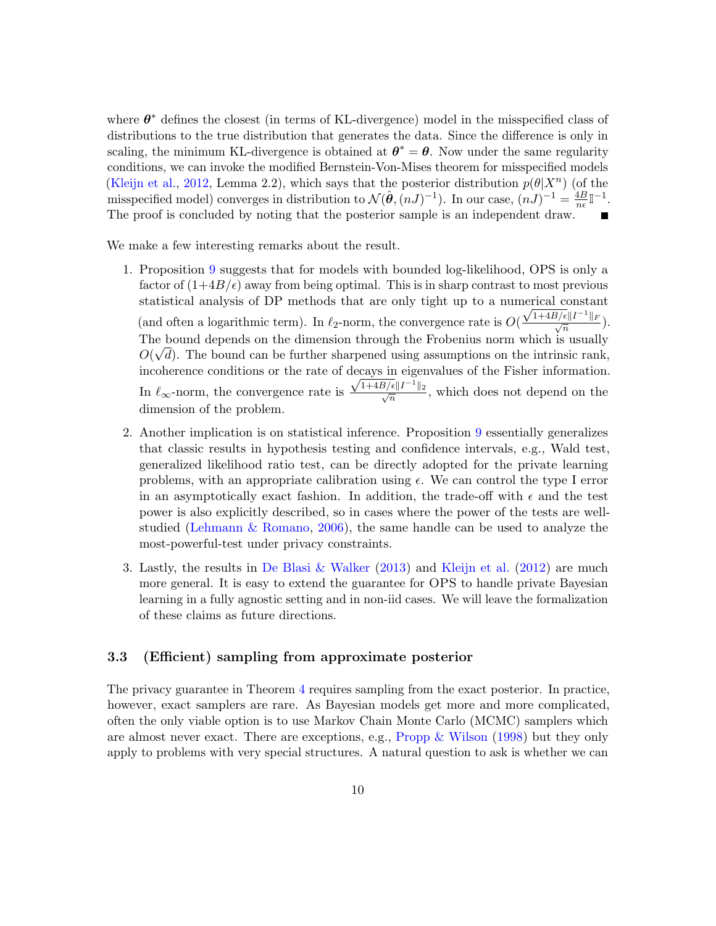where  $\theta^*$  defines the closest (in terms of KL-divergence) model in the misspecified class of distributions to the true distribution that generates the data. Since the difference is only in scaling, the minimum KL-divergence is obtained at  $\theta^* = \theta$ . Now under the same regularity conditions, we can invoke the modified Bernstein-Von-Mises theorem for misspecified models [\(Kleijn et al.,](#page-27-11) [2012,](#page-27-11) Lemma 2.2), which says that the posterior distribution  $p(\theta|X^n)$  (of the misspecified model) converges in distribution to  $\mathcal{N}(\hat{\theta}, (nJ)^{-1})$ . In our case,  $(nJ)^{-1} = \frac{4B}{n\epsilon}$  $\frac{4B}{n\epsilon}$   $\mathbb{I}^{-1}$ . The proof is concluded by noting that the posterior sample is an independent draw.

We make a few interesting remarks about the result.

- 1. Proposition [9](#page-8-0) suggests that for models with bounded log-likelihood, OPS is only a factor of  $(1+4B/\epsilon)$  away from being optimal. This is in sharp contrast to most previous statistical analysis of DP methods that are only tight up to a numerical constant (and often a logarithmic term). In  $\ell_2$ -norm, the convergence rate is  $O(\frac{\sqrt{1+4B/\epsilon}||I^{-1}||_F}{\sqrt{n}})$ . The bound depends on the dimension through the Frobenius norm which is usually  $O(\sqrt{d})$ . The bound can be further sharpened using assumptions on the intrinsic rank, incoherence conditions or the rate of decays in eigenvalues of the Fisher information. In  $\ell_{\infty}$ -norm, the convergence rate is  $\frac{\sqrt{1+4B/\epsilon}||I^{-1}||_2}{\sqrt{n}}$ , which does not depend on the dimension of the problem.
- 2. Another implication is on statistical inference. Proposition [9](#page-8-0) essentially generalizes that classic results in hypothesis testing and confidence intervals, e.g., Wald test, generalized likelihood ratio test, can be directly adopted for the private learning problems, with an appropriate calibration using  $\epsilon$ . We can control the type I error in an asymptotically exact fashion. In addition, the trade-off with  $\epsilon$  and the test power is also explicitly described, so in cases where the power of the tests are wellstudied [\(Lehmann & Romano,](#page-28-8) [2006\)](#page-28-8), the same handle can be used to analyze the most-powerful-test under privacy constraints.
- 3. Lastly, the results in [De Blasi & Walker](#page-26-10) [\(2013\)](#page-26-10) and [Kleijn et al.](#page-27-11) [\(2012\)](#page-27-11) are much more general. It is easy to extend the guarantee for OPS to handle private Bayesian learning in a fully agnostic setting and in non-iid cases. We will leave the formalization of these claims as future directions.

#### <span id="page-9-0"></span>3.3 (Efficient) sampling from approximate posterior

The privacy guarantee in Theorem [4](#page-5-1) requires sampling from the exact posterior. In practice, however, exact samplers are rare. As Bayesian models get more and more complicated, often the only viable option is to use Markov Chain Monte Carlo (MCMC) samplers which are almost never exact. There are exceptions, e.g., [Propp & Wilson](#page-28-9) [\(1998\)](#page-28-9) but they only apply to problems with very special structures. A natural question to ask is whether we can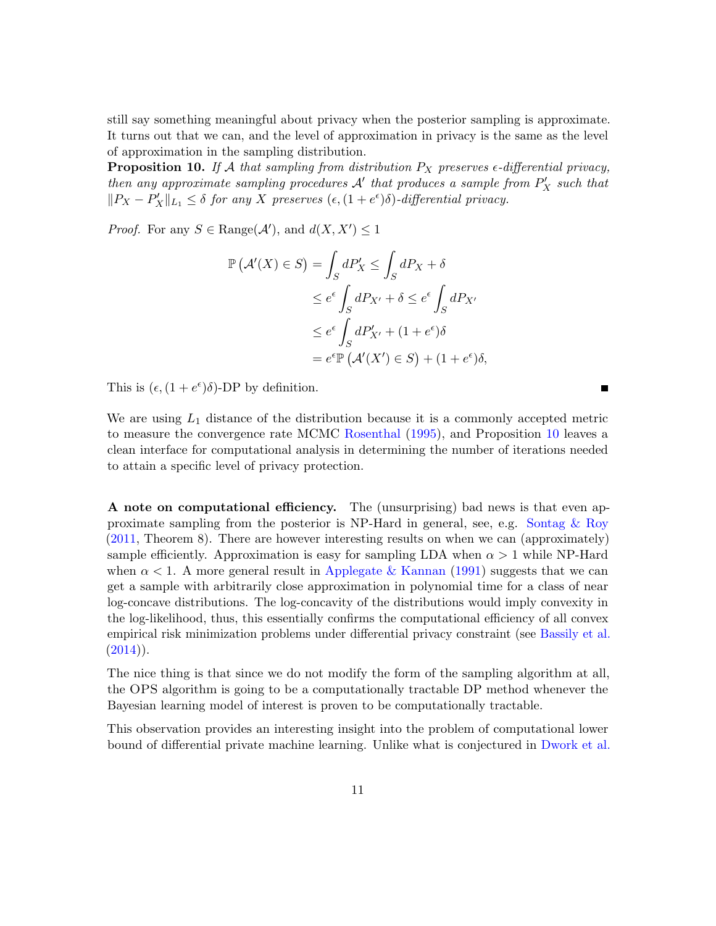still say something meaningful about privacy when the posterior sampling is approximate. It turns out that we can, and the level of approximation in privacy is the same as the level of approximation in the sampling distribution.

<span id="page-10-0"></span>**Proposition 10.** If A that sampling from distribution  $P_X$  preserves  $\epsilon$ -differential privacy, then any approximate sampling procedures  $\mathcal{A}'$  that produces a sample from  $P'_X$  such that  $||P_X - P'_X||_{L_1} \leq \delta$  for any X preserves  $(\epsilon, (1 + e^{\epsilon})\delta)$ -differential privacy.

*Proof.* For any  $S \in \text{Range}(\mathcal{A}')$ , and  $d(X, X') \leq 1$ 

$$
\mathbb{P}(\mathcal{A}'(X) \in S) = \int_{S} dP'_{X} \le \int_{S} dP_{X} + \delta
$$
  
\n
$$
\le e^{\epsilon} \int_{S} dP_{X'} + \delta \le e^{\epsilon} \int_{S} dP_{X'}
$$
  
\n
$$
\le e^{\epsilon} \int_{S} dP'_{X'} + (1 + e^{\epsilon})\delta
$$
  
\n
$$
= e^{\epsilon} \mathbb{P}(\mathcal{A}'(X') \in S) + (1 + e^{\epsilon})\delta,
$$

This is  $(\epsilon, (1 + e^{\epsilon})\delta)$ -DP by definition.

We are using  $L_1$  distance of the distribution because it is a commonly accepted metric to measure the convergence rate MCMC [Rosenthal](#page-28-10) [\(1995\)](#page-28-10), and Proposition [10](#page-10-0) leaves a clean interface for computational analysis in determining the number of iterations needed to attain a specific level of privacy protection.

Г

A note on computational efficiency. The (unsurprising) bad news is that even approximate sampling from the posterior is NP-Hard in general, see, e.g. Sontag  $\&$  Roy [\(2011,](#page-29-3) Theorem 8). There are however interesting results on when we can (approximately) sample efficiently. Approximation is easy for sampling LDA when  $\alpha > 1$  while NP-Hard when  $\alpha$  < 1. A more general result in [Applegate & Kannan](#page-26-11) [\(1991\)](#page-26-11) suggests that we can get a sample with arbitrarily close approximation in polynomial time for a class of near log-concave distributions. The log-concavity of the distributions would imply convexity in the log-likelihood, thus, this essentially confirms the computational efficiency of all convex empirical risk minimization problems under differential privacy constraint (see [Bassily et al.](#page-26-8)  $(2014)$ .

The nice thing is that since we do not modify the form of the sampling algorithm at all, the OPS algorithm is going to be a computationally tractable DP method whenever the Bayesian learning model of interest is proven to be computationally tractable.

This observation provides an interesting insight into the problem of computational lower bound of differential private machine learning. Unlike what is conjectured in [Dwork et al.](#page-27-12)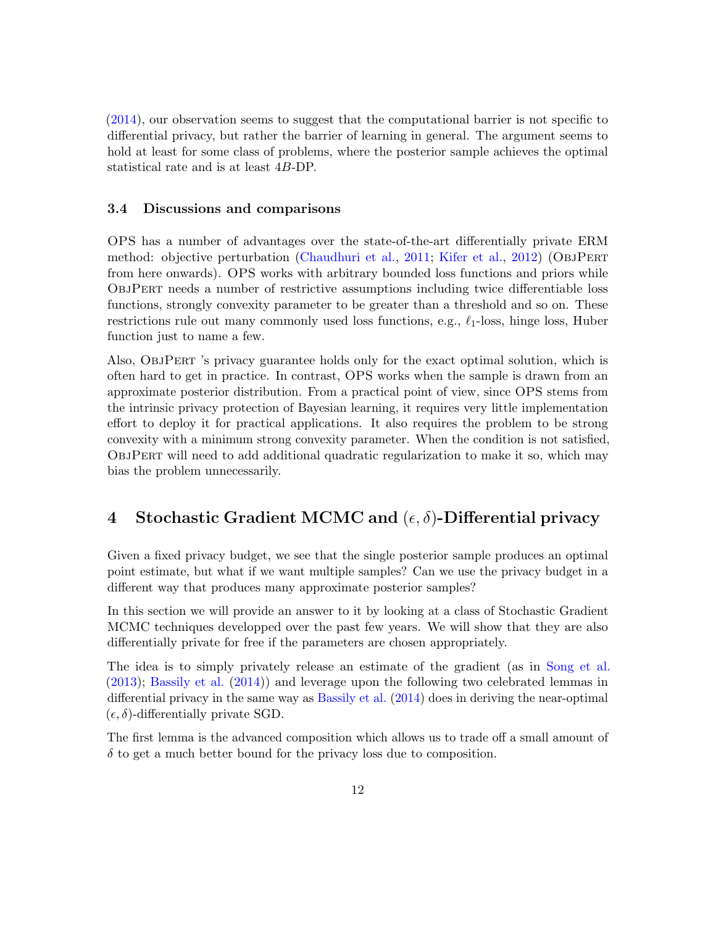[\(2014\)](#page-27-12), our observation seems to suggest that the computational barrier is not specific to differential privacy, but rather the barrier of learning in general. The argument seems to hold at least for some class of problems, where the posterior sample achieves the optimal statistical rate and is at least 4B-DP.

#### <span id="page-11-0"></span>3.4 Discussions and comparisons

OPS has a number of advantages over the state-of-the-art differentially private ERM method: objective perturbation [\(Chaudhuri et al.,](#page-26-7) [2011;](#page-26-7) [Kifer et al.,](#page-27-5) [2012\)](#page-27-5) (ObjPert from here onwards). OPS works with arbitrary bounded loss functions and priors while ObjPert needs a number of restrictive assumptions including twice differentiable loss functions, strongly convexity parameter to be greater than a threshold and so on. These restrictions rule out many commonly used loss functions, e.g.,  $\ell_1$ -loss, hinge loss, Huber function just to name a few.

Also, ObjPert 's privacy guarantee holds only for the exact optimal solution, which is often hard to get in practice. In contrast, OPS works when the sample is drawn from an approximate posterior distribution. From a practical point of view, since OPS stems from the intrinsic privacy protection of Bayesian learning, it requires very little implementation effort to deploy it for practical applications. It also requires the problem to be strong convexity with a minimum strong convexity parameter. When the condition is not satisfied, ObjPert will need to add additional quadratic regularization to make it so, which may bias the problem unnecessarily.

# <span id="page-11-1"></span>4 Stochastic Gradient MCMC and  $(\epsilon, \delta)$ -Differential privacy

Given a fixed privacy budget, we see that the single posterior sample produces an optimal point estimate, but what if we want multiple samples? Can we use the privacy budget in a different way that produces many approximate posterior samples?

In this section we will provide an answer to it by looking at a class of Stochastic Gradient MCMC techniques developped over the past few years. We will show that they are also differentially private for free if the parameters are chosen appropriately.

The idea is to simply privately release an estimate of the gradient (as in [Song et al.](#page-28-6) [\(2013\)](#page-28-6); [Bassily et al.](#page-26-8) [\(2014\)](#page-26-8)) and leverage upon the following two celebrated lemmas in differential privacy in the same way as [Bassily et al.](#page-26-8) [\(2014\)](#page-26-8) does in deriving the near-optimal  $(\epsilon, \delta)$ -differentially private SGD.

The first lemma is the advanced composition which allows us to trade off a small amount of  $\delta$  to get a much better bound for the privacy loss due to composition.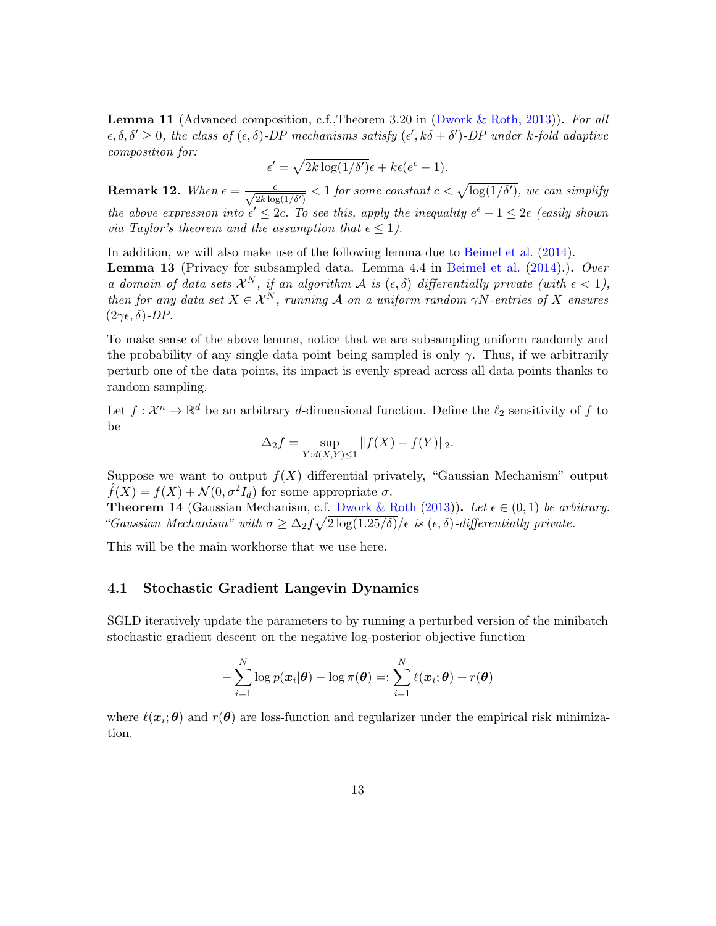**Lemma 11** (Advanced composition, c.f., Theorem 3.20 in [\(Dwork & Roth,](#page-27-7) [2013\)](#page-27-7)). For all  $\epsilon, \delta, \delta' \geq 0$ , the class of  $(\epsilon, \delta)$ -DP mechanisms satisfy  $(\epsilon', k\delta + \delta')$ -DP under k-fold adaptive composition for:

$$
\epsilon' = \sqrt{2k \log(1/\delta')} \epsilon + k\epsilon(e^{\epsilon} - 1).
$$

<span id="page-12-2"></span>**Remark 12.** When  $\epsilon = \frac{c}{\sqrt{2k \log(1/\delta')}} < 1$  for some constant  $c < \sqrt{\log(1/\delta')}$ , we can simplify the above expression into  $\epsilon' \leq 2c$ . To see this, apply the inequality  $e^{\epsilon} - 1 \leq 2\epsilon$  (easily shown *via Taylor's theorem and the assumption that*  $\epsilon \leq 1$ .

<span id="page-12-1"></span>In addition, we will also make use of the following lemma due to [Beimel et al.](#page-26-12) [\(2014\)](#page-26-12). **Lemma 13** (Privacy for subsampled data. Lemma 4.4 in [Beimel et al.](#page-26-12)  $(2014)$ .). Over a domain of data sets  $\mathcal{X}^N$ , if an algorithm A is  $(\epsilon, \delta)$  differentially private (with  $\epsilon < 1$ ), then for any data set  $X \in \mathcal{X}^N$ , running A on a uniform random  $\gamma N$ -entries of X ensures  $(2\gamma\epsilon, \delta)$ -DP.

To make sense of the above lemma, notice that we are subsampling uniform randomly and the probability of any single data point being sampled is only  $\gamma$ . Thus, if we arbitrarily perturb one of the data points, its impact is evenly spread across all data points thanks to random sampling.

Let  $f: \mathcal{X}^n \to \mathbb{R}^d$  be an arbitrary d-dimensional function. Define the  $\ell_2$  sensitivity of f to be

$$
\Delta_2 f = \sup_{Y:d(X,Y)\leq 1} ||f(X) - f(Y)||_2.
$$

Suppose we want to output  $f(X)$  differential privately, "Gaussian Mechanism" output  $\hat{f}(X) = f(X) + \mathcal{N}(0, \sigma^2 I_d)$  for some appropriate  $\sigma$ .

<span id="page-12-3"></span>**Theorem 14** (Gaussian Mechanism, c.f. [Dwork & Roth](#page-27-7) [\(2013\)](#page-27-7)). Let  $\epsilon \in (0,1)$  be arbitrary. "Gaussian Mechanism" with  $\sigma \geq \Delta_2 f \sqrt{2 \log(1.25/\delta)} / \epsilon$  is  $(\epsilon, \delta)$ -differentially private.

This will be the main workhorse that we use here.

#### <span id="page-12-0"></span>4.1 Stochastic Gradient Langevin Dynamics

SGLD iteratively update the parameters to by running a perturbed version of the minibatch stochastic gradient descent on the negative log-posterior objective function

$$
-\sum_{i=1}^N \log p(\boldsymbol{x}_i|\boldsymbol{\theta}) - \log \pi(\boldsymbol{\theta}) =: \sum_{i=1}^N \ell(\boldsymbol{x}_i; \boldsymbol{\theta}) + r(\boldsymbol{\theta})
$$

where  $\ell(x_i; \theta)$  and  $r(\theta)$  are loss-function and regularizer under the empirical risk minimization.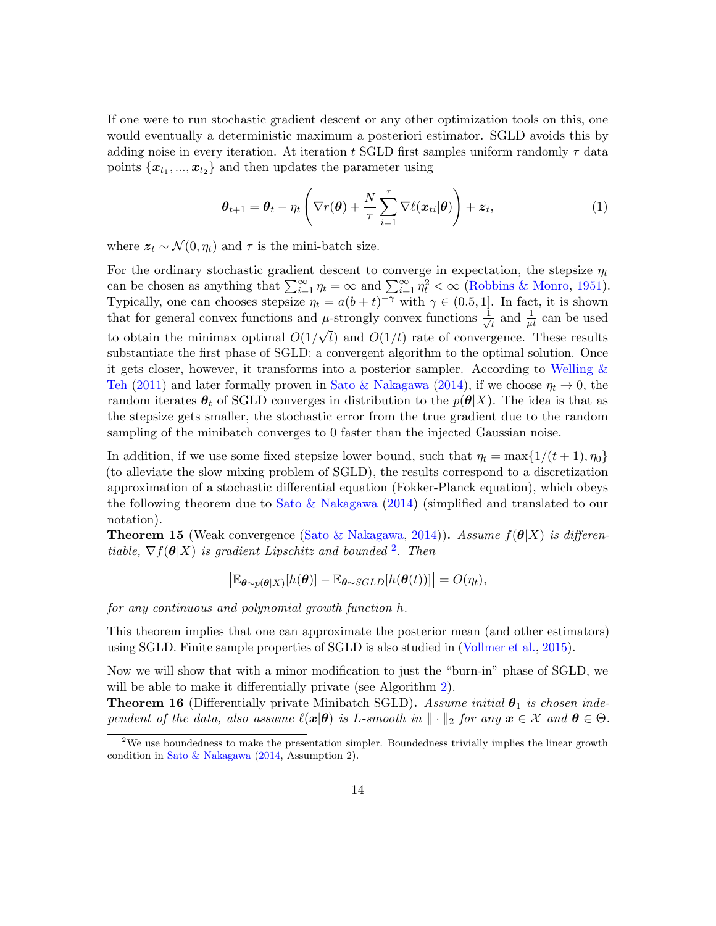If one were to run stochastic gradient descent or any other optimization tools on this, one would eventually a deterministic maximum a posteriori estimator. SGLD avoids this by adding noise in every iteration. At iteration t SGLD first samples uniform randomly  $\tau$  data points  ${x_{t_1},...,x_{t_2}}$  and then updates the parameter using

$$
\boldsymbol{\theta}_{t+1} = \boldsymbol{\theta}_t - \eta_t \left( \nabla r(\boldsymbol{\theta}) + \frac{N}{\tau} \sum_{i=1}^{\tau} \nabla \ell(\boldsymbol{x}_{ti} | \boldsymbol{\theta}) \right) + \boldsymbol{z}_t, \tag{1}
$$

where  $z_t \sim \mathcal{N}(0, \eta_t)$  and  $\tau$  is the mini-batch size.

For the ordinary stochastic gradient descent to converge in expectation, the stepsize  $\eta_t$ can be chosen as anything that  $\sum_{i=1}^{\infty} \eta_t = \infty$  and  $\sum_{i=1}^{\infty} \eta_t^2 < \infty$  [\(Robbins & Monro,](#page-28-4) [1951\)](#page-28-4). Typically, one can chooses stepsize  $\eta_t = a(b+t)^{-\gamma}$  with  $\gamma \in (0.5, 1]$ . In fact, it is shown that for general convex functions and  $\mu$ -strongly convex functions  $\frac{1}{\sqrt{2}}$  $\mu$ -strongly convex functions  $\frac{1}{\sqrt{t}}$  and  $\frac{1}{\mu t}$  can be used to obtain the minimax optimal  $O(1/\sqrt{t})$  and  $O(1/t)$  rate of convergence. These results substantiate the first phase of SGLD: a convergent algorithm to the optimal solution. Once it gets closer, however, it transforms into a posterior sampler. According to [Welling &](#page-29-1) [Teh](#page-29-1) [\(2011\)](#page-29-1) and later formally proven in [Sato & Nakagawa](#page-28-11) [\(2014\)](#page-28-11), if we choose  $\eta_t \to 0$ , the random iterates  $\theta_t$  of SGLD converges in distribution to the  $p(\theta|X)$ . The idea is that as the stepsize gets smaller, the stochastic error from the true gradient due to the random sampling of the minibatch converges to 0 faster than the injected Gaussian noise.

In addition, if we use some fixed stepsize lower bound, such that  $\eta_t = \max\{1/(t+1), \eta_0\}$ (to alleviate the slow mixing problem of SGLD), the results correspond to a discretization approximation of a stochastic differential equation (Fokker-Planck equation), which obeys the following theorem due to [Sato & Nakagawa](#page-28-11) [\(2014\)](#page-28-11) (simplified and translated to our notation).

**Theorem 15** (Weak convergence [\(Sato & Nakagawa,](#page-28-11) [2014\)](#page-28-11)). Assume  $f(\theta|X)$  is differentiable,  $\nabla f(\boldsymbol{\theta}|X)$  is gradient Lipschitz and bounded <sup>[2](#page-13-0)</sup>. Then

$$
\big|\mathbb{E}_{\boldsymbol{\theta}\sim p(\boldsymbol{\theta}|X)}[h(\boldsymbol{\theta})]-\mathbb{E}_{\boldsymbol{\theta}\sim SGLD}[h(\boldsymbol{\theta}(t))]\big|=O(\eta_t),
$$

for any continuous and polynomial growth function h.

This theorem implies that one can approximate the posterior mean (and other estimators) using SGLD. Finite sample properties of SGLD is also studied in [\(Vollmer et al.,](#page-29-4) [2015\)](#page-29-4).

Now we will show that with a minor modification to just the "burn-in" phase of SGLD, we will be able to make it differentially private (see Algorithm [2\)](#page-14-0).

<span id="page-13-1"></span>**Theorem 16** (Differentially private Minibatch SGLD). Assume initial  $\theta_1$  is chosen independent of the data, also assume  $\ell(\mathbf{x}|\theta)$  is L-smooth in  $\|\cdot\|_2$  for any  $\mathbf{x} \in \mathcal{X}$  and  $\theta \in \Theta$ .

<span id="page-13-0"></span><sup>&</sup>lt;sup>2</sup>We use boundedness to make the presentation simpler. Boundedness trivially implies the linear growth condition in [Sato & Nakagawa](#page-28-11) [\(2014,](#page-28-11) Assumption 2).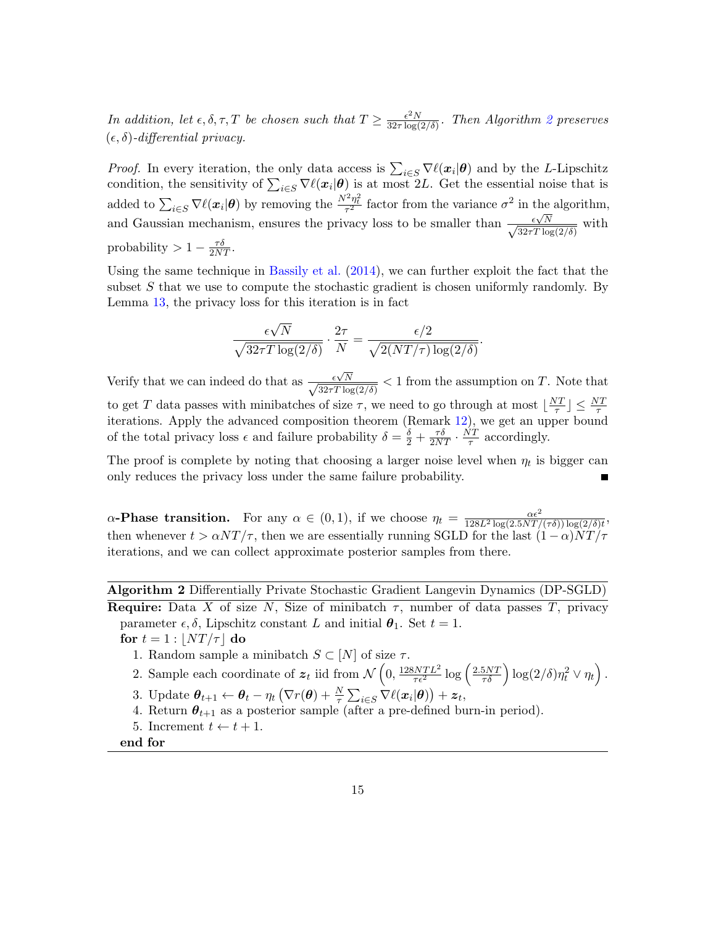In addition, let  $\epsilon, \delta, \tau, T$  be chosen such that  $T \geq \frac{\epsilon^2 N}{32\tau \log T}$  $\frac{\epsilon^2 N}{32\tau\log(2/\delta)}$  $\frac{\epsilon^2 N}{32\tau\log(2/\delta)}$  $\frac{\epsilon^2 N}{32\tau\log(2/\delta)}$ . Then Algorithm 2 preserves  $(\epsilon, \delta)$ -differential privacy.

*Proof.* In every iteration, the only data access is  $\sum_{i \in S} \nabla \ell(x_i | \theta)$  and by the L-Lipschitz condition, the sensitivity of  $\sum_{i\in S} \nabla \ell(x_i|\theta)$  is at most 2L. Get the essential noise that is added to  $\sum_{i \in S} \nabla \ell(x_i | \theta)$  by removing the  $\frac{N^2 \eta_i^2}{\tau^2}$  factor from the variance  $\sigma^2$  in the algorithm, and Gaussian mechanism, ensures the privacy loss to be smaller than  $\frac{\epsilon \sqrt{N}}{\sqrt{N}}$  $\frac{\epsilon \sqrt{N}}{32 \tau T \log(2/\delta)}$  with probability >  $1 - \frac{\tau \delta}{2NT}$ .

Using the same technique in [Bassily et al.](#page-26-8) [\(2014\)](#page-26-8), we can further exploit the fact that the subset  $S$  that we use to compute the stochastic gradient is chosen uniformly randomly. By Lemma [13,](#page-12-1) the privacy loss for this iteration is in fact

$$
\frac{\epsilon\sqrt{N}}{\sqrt{32\tau T\log(2/\delta)}} \cdot \frac{2\tau}{N} = \frac{\epsilon/2}{\sqrt{2(NT/\tau)\log(2/\delta)}}.
$$

Verify that we can indeed do that as  $\frac{\epsilon \sqrt{N}}{\sqrt{N}}$  $\frac{\epsilon \sqrt{N}}{32\tau T \log(2/\delta)}$  < 1 from the assumption on T. Note that to get T data passes with minibatches of size  $\tau$ , we need to go through at most  $\frac{NT}{\tau}$  $\frac{NT}{\tau}$ ]  $\leq \frac{NT}{\tau}$ iterations. Apply the advanced composition theorem (Remark [12\)](#page-12-2), we get an upper bound of the total privacy loss  $\epsilon$  and failure probability  $\delta = \frac{\delta}{2} + \frac{\tau \delta}{2NT} \cdot \frac{NT}{\tau}$  $\frac{\sqrt{T}}{\tau}$  accordingly.

The proof is complete by noting that choosing a larger noise level when  $\eta_t$  is bigger can only reduces the privacy loss under the same failure probability.

 $\alpha$ -Phase transition. For any  $\alpha \in (0,1)$ , if we choose  $\eta_t = \frac{\alpha \epsilon^2}{128L^2 \log(2.5NT)}$  $\frac{\alpha \epsilon^2}{128L^2 \log(2.5NT/(\tau\delta)) \log(2/\delta)t},$ then whenever  $t > \alpha NT/\tau$ , then we are essentially running SGLD for the last  $(1 - \alpha)NT/\tau$ iterations, and we can collect approximate posterior samples from there.

<span id="page-14-0"></span>Algorithm 2 Differentially Private Stochastic Gradient Langevin Dynamics (DP-SGLD) **Require:** Data X of size N, Size of minibatch  $\tau$ , number of data passes T, privacy parameter  $\epsilon$ ,  $\delta$ , Lipschitz constant L and initial  $\theta_1$ . Set  $t = 1$ .

for  $t = 1$  :  $|NT/\tau|$  do

- 1. Random sample a minibatch  $S \subset [N]$  of size  $\tau$ .
- 2. Sample each coordinate of  $z_t$  iid from  $\mathcal{N}\left(0, \frac{128NTL^2}{\tau \epsilon^2} \log\left(\frac{2.5NT}{\tau \delta}\right) \log(2/\delta)\eta_t^2 \vee \eta_t\right)$ .
- 3. Update  $\boldsymbol{\theta}_{t+1} \leftarrow \boldsymbol{\theta}_t \eta_t \left( \nabla r(\boldsymbol{\theta}) + \frac{N}{\tau} \sum_{i \in S} \nabla \ell(\boldsymbol{x}_i | \boldsymbol{\theta}) \right) + \boldsymbol{z}_t$
- 4. Return  $\theta_{t+1}$  as a posterior sample (after a pre-defined burn-in period).
- 5. Increment  $t \leftarrow t + 1$ .

end for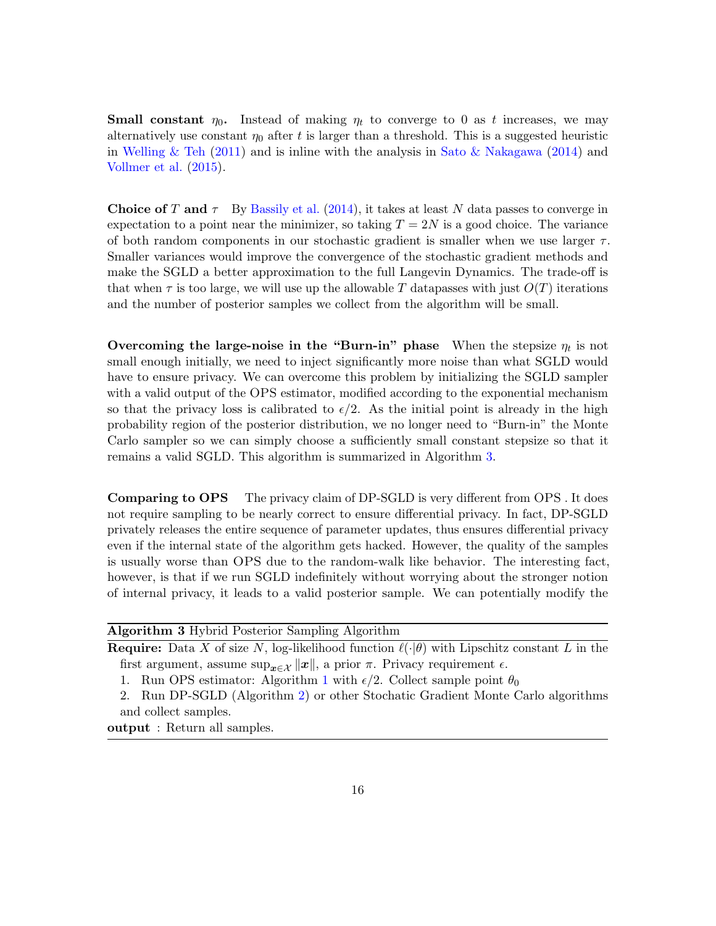**Small constant**  $\eta_0$ . Instead of making  $\eta_t$  to converge to 0 as t increases, we may alternatively use constant  $\eta_0$  after t is larger than a threshold. This is a suggested heuristic in [Welling & Teh](#page-29-1) [\(2011\)](#page-29-1) and is inline with the analysis in [Sato & Nakagawa](#page-28-11) [\(2014\)](#page-28-11) and [Vollmer et al.](#page-29-4) [\(2015\)](#page-29-4).

**Choice of T and**  $\tau$  By [Bassily et al.](#page-26-8) [\(2014\)](#page-26-8), it takes at least N data passes to converge in expectation to a point near the minimizer, so taking  $T = 2N$  is a good choice. The variance of both random components in our stochastic gradient is smaller when we use larger  $\tau$ . Smaller variances would improve the convergence of the stochastic gradient methods and make the SGLD a better approximation to the full Langevin Dynamics. The trade-off is that when  $\tau$  is too large, we will use up the allowable T datapasses with just  $O(T)$  iterations and the number of posterior samples we collect from the algorithm will be small.

Overcoming the large-noise in the "Burn-in" phase When the stepsize  $\eta_t$  is not small enough initially, we need to inject significantly more noise than what SGLD would have to ensure privacy. We can overcome this problem by initializing the SGLD sampler with a valid output of the OPS estimator, modified according to the exponential mechanism so that the privacy loss is calibrated to  $\epsilon/2$ . As the initial point is already in the high probability region of the posterior distribution, we no longer need to "Burn-in" the Monte Carlo sampler so we can simply choose a sufficiently small constant stepsize so that it remains a valid SGLD. This algorithm is summarized in Algorithm [3.](#page-15-0)

**Comparing to OPS** The privacy claim of DP-SGLD is very different from OPS. It does not require sampling to be nearly correct to ensure differential privacy. In fact, DP-SGLD privately releases the entire sequence of parameter updates, thus ensures differential privacy even if the internal state of the algorithm gets hacked. However, the quality of the samples is usually worse than OPS due to the random-walk like behavior. The interesting fact, however, is that if we run SGLD indefinitely without worrying about the stronger notion of internal privacy, it leads to a valid posterior sample. We can potentially modify the

<span id="page-15-0"></span>

| <b>Algorithm 3</b> Hybrid Posterior Sampling Algorithm                                                          |  |  |
|-----------------------------------------------------------------------------------------------------------------|--|--|
| <b>Require:</b> Data X of size N, log-likelihood function $\ell(\cdot \theta)$ with Lipschitz constant L in the |  |  |
| first argument, assume $\sup_{x \in \mathcal{X}}   x  $ , a prior $\pi$ . Privacy requirement $\epsilon$ .      |  |  |
| 1. Run OPS estimator: Algorithm 1 with $\epsilon/2$ . Collect sample point $\theta_0$                           |  |  |
| 2. Run DP-SGLD (Algorithm 2) or other Stochatic Gradient Monte Carlo algorithms                                 |  |  |
| and collect samples.                                                                                            |  |  |
| output: Return all samples.                                                                                     |  |  |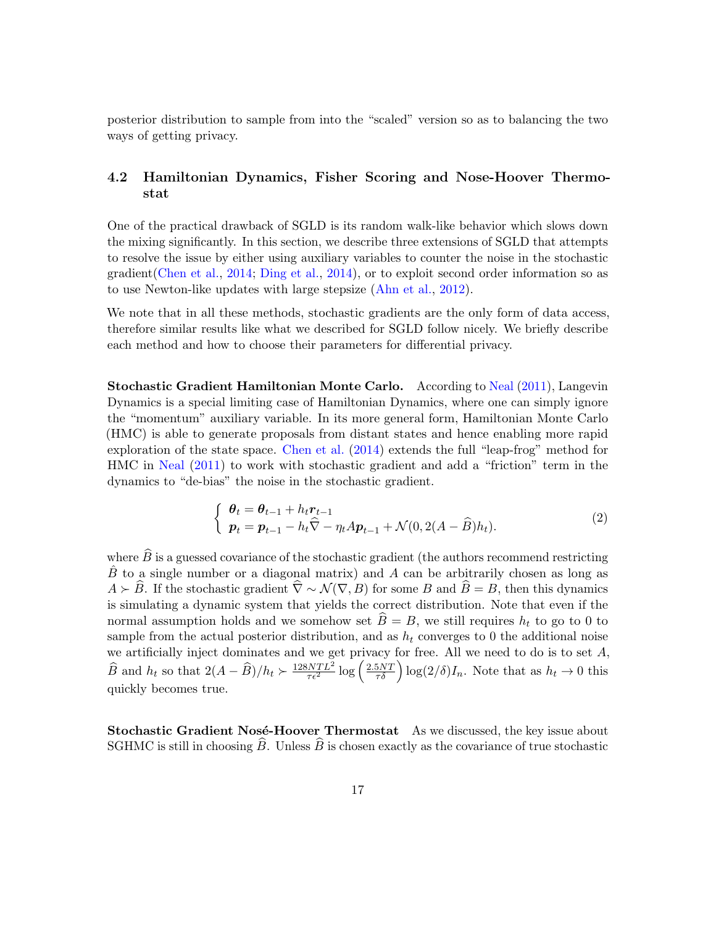posterior distribution to sample from into the "scaled" version so as to balancing the two ways of getting privacy.

### <span id="page-16-0"></span>4.2 Hamiltonian Dynamics, Fisher Scoring and Nose-Hoover Thermostat

One of the practical drawback of SGLD is its random walk-like behavior which slows down the mixing significantly. In this section, we describe three extensions of SGLD that attempts to resolve the issue by either using auxiliary variables to counter the noise in the stochastic gradient[\(Chen et al.,](#page-26-4) [2014;](#page-26-4) [Ding et al.,](#page-26-5) [2014\)](#page-26-5), or to exploit second order information so as to use Newton-like updates with large stepsize [\(Ahn et al.,](#page-26-3) [2012\)](#page-26-3).

We note that in all these methods, stochastic gradients are the only form of data access, therefore similar results like what we described for SGLD follow nicely. We briefly describe each method and how to choose their parameters for differential privacy.

Stochastic Gradient Hamiltonian Monte Carlo. According to [Neal](#page-28-5) [\(2011\)](#page-28-5), Langevin Dynamics is a special limiting case of Hamiltonian Dynamics, where one can simply ignore the "momentum" auxiliary variable. In its more general form, Hamiltonian Monte Carlo (HMC) is able to generate proposals from distant states and hence enabling more rapid exploration of the state space. [Chen et al.](#page-26-4) [\(2014\)](#page-26-4) extends the full "leap-frog" method for HMC in [Neal](#page-28-5) [\(2011\)](#page-28-5) to work with stochastic gradient and add a "friction" term in the dynamics to "de-bias" the noise in the stochastic gradient.

$$
\begin{cases} \n\boldsymbol{\theta}_t = \boldsymbol{\theta}_{t-1} + h_t \boldsymbol{r}_{t-1} \\ \n\boldsymbol{p}_t = \boldsymbol{p}_{t-1} - h_t \widehat{\nabla} - \eta_t A \boldsymbol{p}_{t-1} + \mathcal{N}(0, 2(A - \widehat{B}) h_t). \n\end{cases} \tag{2}
$$

where  $\widehat{B}$  is a guessed covariance of the stochastic gradient (the authors recommend restricting  $\hat{B}$  to a single number or a diagonal matrix) and A can be arbitrarily chosen as long as  $A \succeq \widehat{B}$ . If the stochastic gradient  $\widehat{\nabla} \sim \mathcal{N}(\nabla, B)$  for some B and  $\widehat{B} = B$ , then this dynamics is simulating a dynamic system that yields the correct distribution. Note that even if the normal assumption holds and we somehow set  $\widehat{B} = B$ , we still requires  $h_t$  to go to 0 to sample from the actual posterior distribution, and as  $h_t$  converges to 0 the additional noise we artificially inject dominates and we get privacy for free. All we need to do is to set  $A$ ,  $\widehat{B}$  and  $h_t$  so that  $2(A - \widehat{B})/h_t \succ \frac{128NTL^2}{\tau \epsilon^2} \log \left( \frac{2.5NT}{\tau \delta} \right) \log(2/\delta) I_n$ . Note that as  $h_t \to 0$  this quickly becomes true.

**Stochastic Gradient Nosé-Hoover Thermostat** As we discussed, the key issue about SGHMC is still in choosing  $\widehat{B}$ . Unless  $\widehat{B}$  is chosen exactly as the covariance of true stochastic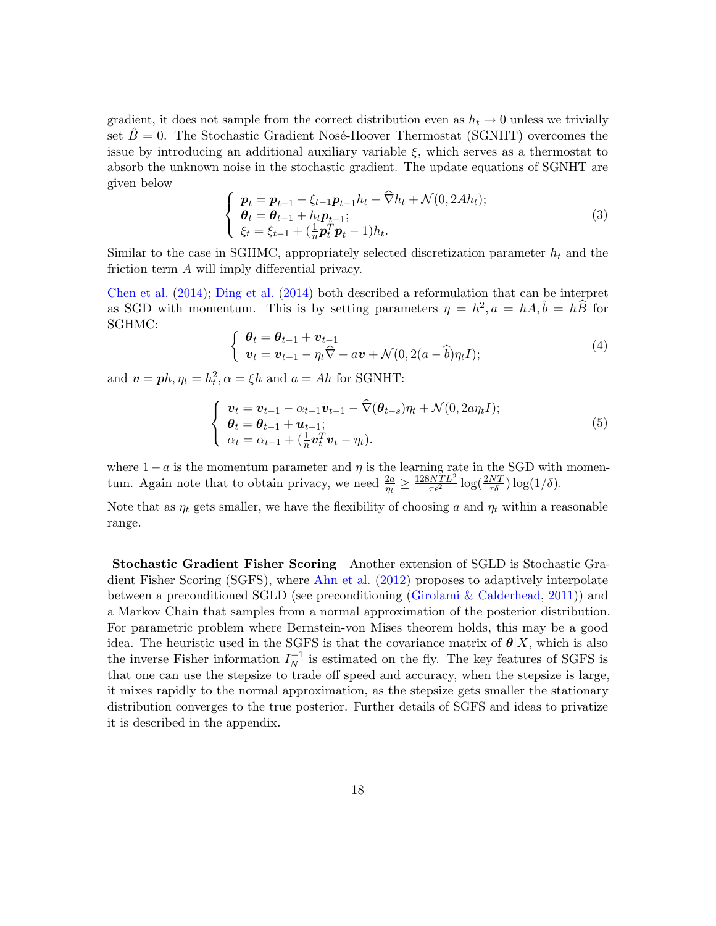gradient, it does not sample from the correct distribution even as  $h_t \to 0$  unless we trivially set  $B=0$ . The Stochastic Gradient Nosé-Hoover Thermostat (SGNHT) overcomes the issue by introducing an additional auxiliary variable  $\xi$ , which serves as a thermostat to absorb the unknown noise in the stochastic gradient. The update equations of SGNHT are given below

$$
\begin{cases}\n\boldsymbol{p}_t = \boldsymbol{p}_{t-1} - \xi_{t-1}\boldsymbol{p}_{t-1}h_t - \widehat{\nabla}h_t + \mathcal{N}(0, 2Ah_t); \\
\boldsymbol{\theta}_t = \boldsymbol{\theta}_{t-1} + h_t\boldsymbol{p}_{t-1}; \\
\xi_t = \xi_{t-1} + (\frac{1}{n}\boldsymbol{p}_t^T\boldsymbol{p}_t - 1)h_t.\n\end{cases}
$$
\n(3)

Similar to the case in SGHMC, appropriately selected discretization parameter  $h_t$  and the friction term A will imply differential privacy.

[Chen et al.](#page-26-4) [\(2014\)](#page-26-4); [Ding et al.](#page-26-5) [\(2014\)](#page-26-5) both described a reformulation that can be interpret as SGD with momentum. This is by setting parameters  $\eta = h^2$ ,  $a = hA$ ,  $\hat{b} = h\hat{B}$  for SGHMC:

$$
\begin{cases} \boldsymbol{\theta}_t = \boldsymbol{\theta}_{t-1} + \boldsymbol{v}_{t-1} \\ \boldsymbol{v}_t = \boldsymbol{v}_{t-1} - \eta_t \widehat{\nabla} - a \boldsymbol{v} + \mathcal{N}(0, 2(a - \widehat{b}) \eta_t I); \end{cases} \tag{4}
$$

and  $\mathbf{v} = \mathbf{p}h, \eta_t = h_t^2, \alpha = \xi h$  and  $a = Ah$  for SGNHT:

$$
\begin{cases}\n\boldsymbol{v}_t = \boldsymbol{v}_{t-1} - \alpha_{t-1}\boldsymbol{v}_{t-1} - \widehat{\nabla}(\boldsymbol{\theta}_{t-s})\eta_t + \mathcal{N}(0, 2a\eta_t I); \\
\boldsymbol{\theta}_t = \boldsymbol{\theta}_{t-1} + \boldsymbol{u}_{t-1}; \\
\alpha_t = \alpha_{t-1} + (\frac{1}{n}\boldsymbol{v}_t^T \boldsymbol{v}_t - \eta_t).\n\end{cases} \tag{5}
$$

where  $1 - a$  is the momentum parameter and  $\eta$  is the learning rate in the SGD with momentum. Again note that to obtain privacy, we need  $\frac{2a}{\eta_t} \geq \frac{128NTL^2}{\tau \epsilon^2} \log(\frac{2NT}{\tau \delta}) \log(1/\delta)$ .

Note that as  $\eta_t$  gets smaller, we have the flexibility of choosing a and  $\eta_t$  within a reasonable range.

Stochastic Gradient Fisher Scoring Another extension of SGLD is Stochastic Gradient Fisher Scoring (SGFS), where [Ahn et al.](#page-26-3) [\(2012\)](#page-26-3) proposes to adaptively interpolate between a preconditioned SGLD (see preconditioning [\(Girolami & Calderhead,](#page-27-13) [2011\)](#page-27-13)) and a Markov Chain that samples from a normal approximation of the posterior distribution. For parametric problem where Bernstein-von Mises theorem holds, this may be a good idea. The heuristic used in the SGFS is that the covariance matrix of  $\theta|X$ , which is also the inverse Fisher information  $I_N^{-1}$  $\overline{N}$ <sup>1</sup> is estimated on the fly. The key features of SGFS is that one can use the stepsize to trade off speed and accuracy, when the stepsize is large, it mixes rapidly to the normal approximation, as the stepsize gets smaller the stationary distribution converges to the true posterior. Further details of SGFS and ideas to privatize it is described in the appendix.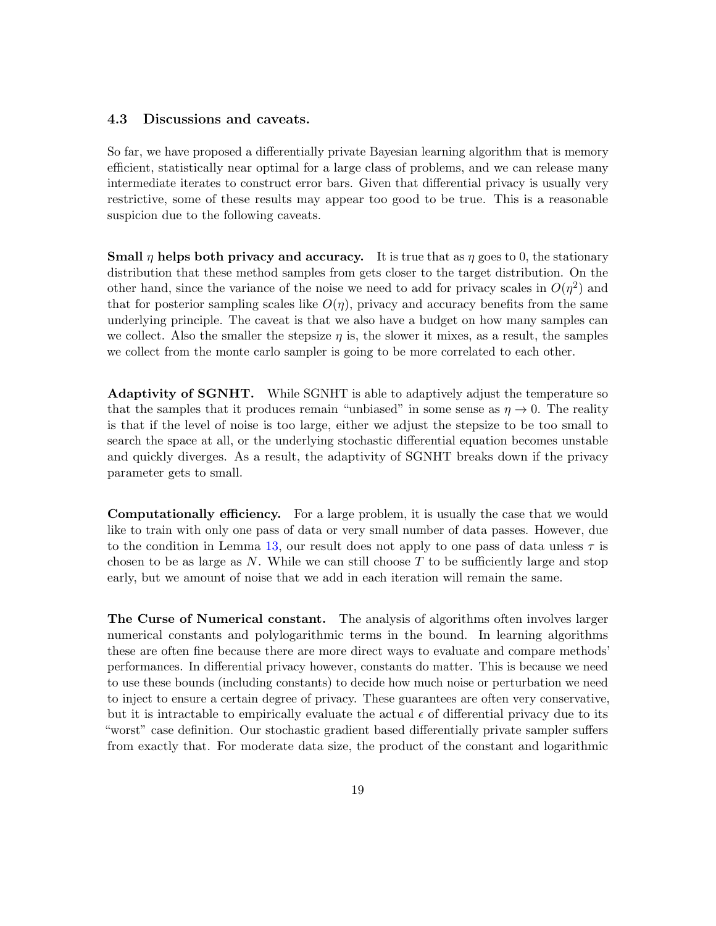#### <span id="page-18-0"></span>4.3 Discussions and caveats.

So far, we have proposed a differentially private Bayesian learning algorithm that is memory efficient, statistically near optimal for a large class of problems, and we can release many intermediate iterates to construct error bars. Given that differential privacy is usually very restrictive, some of these results may appear too good to be true. This is a reasonable suspicion due to the following caveats.

Small  $\eta$  helps both privacy and accuracy. It is true that as  $\eta$  goes to 0, the stationary distribution that these method samples from gets closer to the target distribution. On the other hand, since the variance of the noise we need to add for privacy scales in  $O(\eta^2)$  and that for posterior sampling scales like  $O(\eta)$ , privacy and accuracy benefits from the same underlying principle. The caveat is that we also have a budget on how many samples can we collect. Also the smaller the stepsize  $\eta$  is, the slower it mixes, as a result, the samples we collect from the monte carlo sampler is going to be more correlated to each other.

Adaptivity of SGNHT. While SGNHT is able to adaptively adjust the temperature so that the samples that it produces remain "unbiased" in some sense as  $\eta \to 0$ . The reality is that if the level of noise is too large, either we adjust the stepsize to be too small to search the space at all, or the underlying stochastic differential equation becomes unstable and quickly diverges. As a result, the adaptivity of SGNHT breaks down if the privacy parameter gets to small.

Computationally efficiency. For a large problem, it is usually the case that we would like to train with only one pass of data or very small number of data passes. However, due to the condition in Lemma [13,](#page-12-1) our result does not apply to one pass of data unless  $\tau$  is chosen to be as large as  $N$ . While we can still choose  $T$  to be sufficiently large and stop early, but we amount of noise that we add in each iteration will remain the same.

The Curse of Numerical constant. The analysis of algorithms often involves larger numerical constants and polylogarithmic terms in the bound. In learning algorithms these are often fine because there are more direct ways to evaluate and compare methods' performances. In differential privacy however, constants do matter. This is because we need to use these bounds (including constants) to decide how much noise or perturbation we need to inject to ensure a certain degree of privacy. These guarantees are often very conservative, but it is intractable to empirically evaluate the actual  $\epsilon$  of differential privacy due to its "worst" case definition. Our stochastic gradient based differentially private sampler suffers from exactly that. For moderate data size, the product of the constant and logarithmic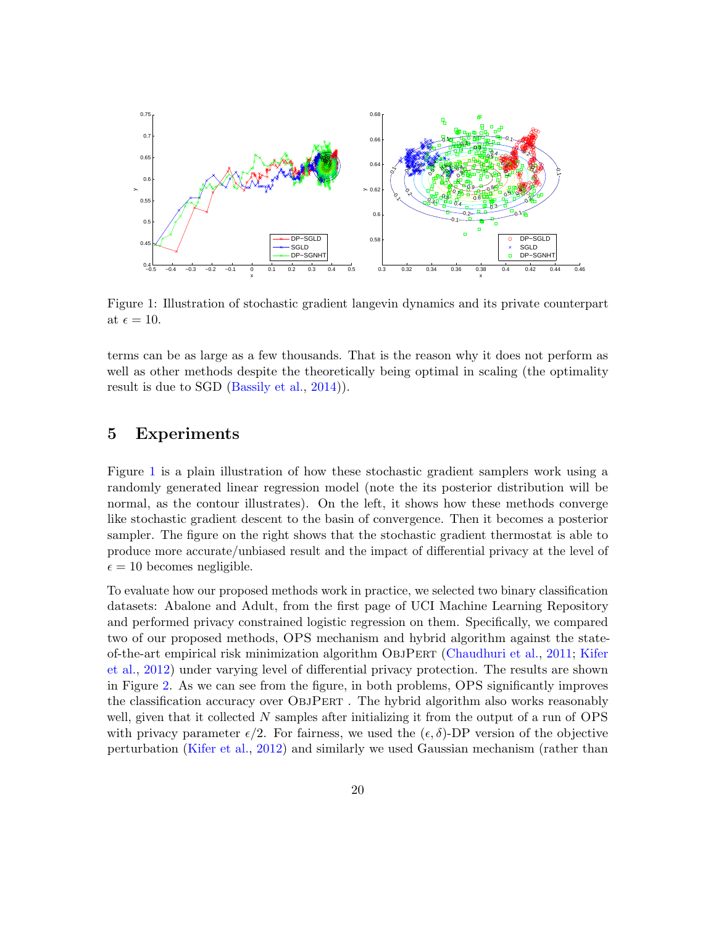

<span id="page-19-1"></span>Figure 1: Illustration of stochastic gradient langevin dynamics and its private counterpart at  $\epsilon = 10$ .

terms can be as large as a few thousands. That is the reason why it does not perform as well as other methods despite the theoretically being optimal in scaling (the optimality result is due to SGD [\(Bassily et al.,](#page-26-8) [2014\)](#page-26-8)).

### <span id="page-19-0"></span>5 Experiments

Figure [1](#page-19-1) is a plain illustration of how these stochastic gradient samplers work using a randomly generated linear regression model (note the its posterior distribution will be normal, as the contour illustrates). On the left, it shows how these methods converge like stochastic gradient descent to the basin of convergence. Then it becomes a posterior sampler. The figure on the right shows that the stochastic gradient thermostat is able to produce more accurate/unbiased result and the impact of differential privacy at the level of  $\epsilon = 10$  becomes negligible.

To evaluate how our proposed methods work in practice, we selected two binary classification datasets: Abalone and Adult, from the first page of UCI Machine Learning Repository and performed privacy constrained logistic regression on them. Specifically, we compared two of our proposed methods, OPS mechanism and hybrid algorithm against the stateof-the-art empirical risk minimization algorithm ObjPert [\(Chaudhuri et al.,](#page-26-7) [2011;](#page-26-7) [Kifer](#page-27-5) [et al.,](#page-27-5) [2012\)](#page-27-5) under varying level of differential privacy protection. The results are shown in Figure [2.](#page-20-0) As we can see from the figure, in both problems, OPS significantly improves the classification accuracy over ObjPert . The hybrid algorithm also works reasonably well, given that it collected  $N$  samples after initializing it from the output of a run of  $OPS$ with privacy parameter  $\epsilon/2$ . For fairness, we used the  $(\epsilon, \delta)$ -DP version of the objective perturbation [\(Kifer et al.,](#page-27-5) [2012\)](#page-27-5) and similarly we used Gaussian mechanism (rather than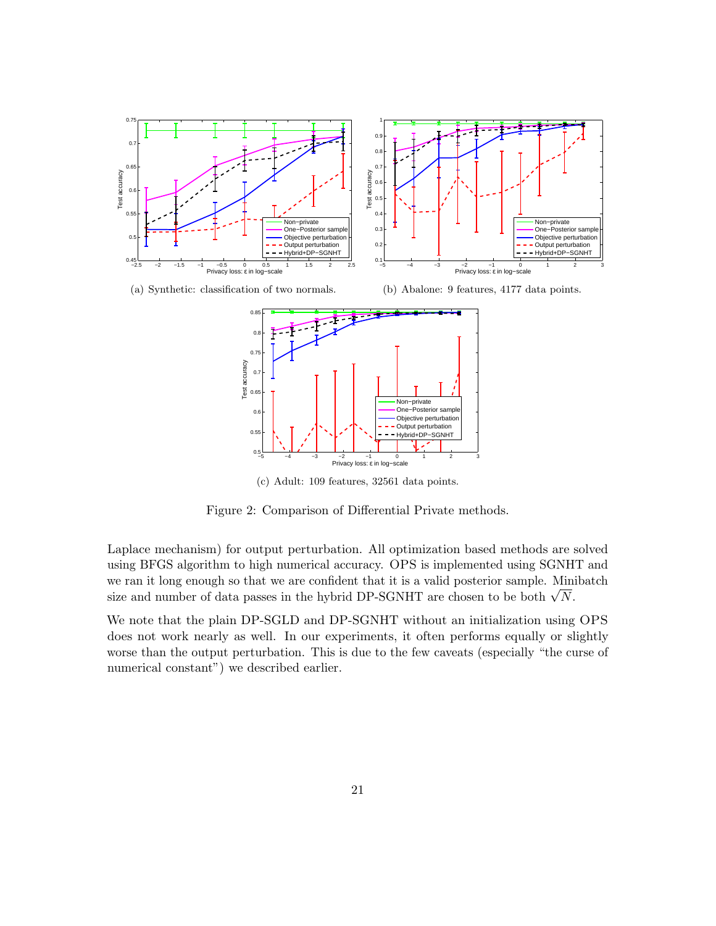

(a) Synthetic: classification of two normals.

(b) Abalone: 9 features, 4177 data points.



<span id="page-20-0"></span>(c) Adult: 109 features, 32561 data points.

Figure 2: Comparison of Differential Private methods.

Laplace mechanism) for output perturbation. All optimization based methods are solved using BFGS algorithm to high numerical accuracy. OPS is implemented using SGNHT and we ran it long enough so that we are confident that it is a valid posterior sample. Minibatch we ran it long enough so that we are connuent that it is a valid posterior sample. Mini-<br>size and number of data passes in the hybrid DP-SGNHT are chosen to be both  $\sqrt{N}$ .

We note that the plain DP-SGLD and DP-SGNHT without an initialization using OPS does not work nearly as well. In our experiments, it often performs equally or slightly worse than the output perturbation. This is due to the few caveats (especially "the curse of numerical constant") we described earlier.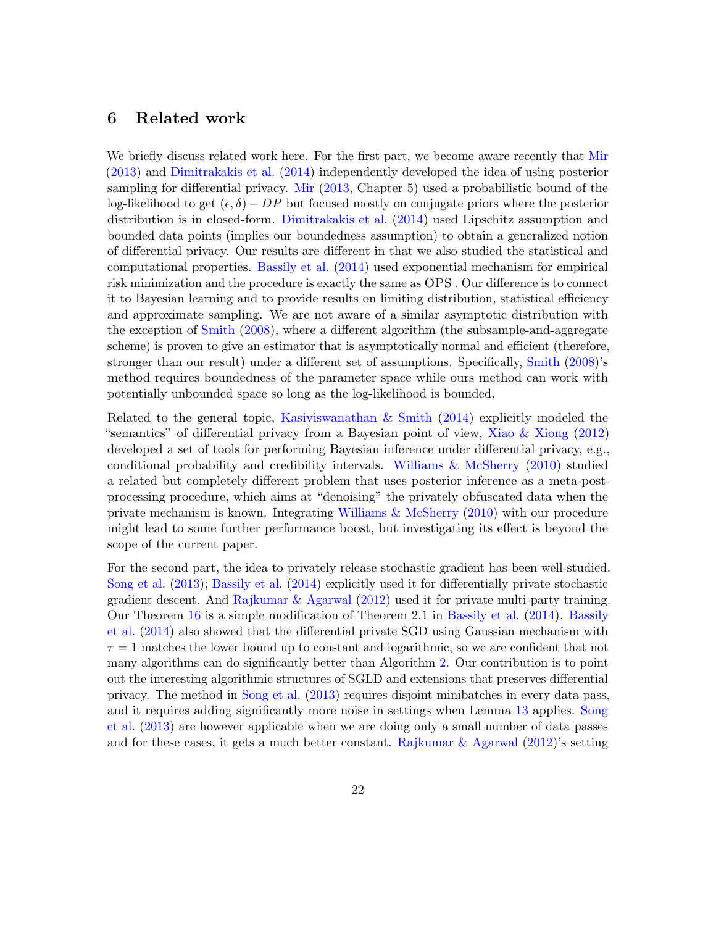### <span id="page-21-0"></span>6 Related work

We briefly discuss related work here. For the first part, we become aware recently that [Mir](#page-28-2) [\(2013\)](#page-28-2) and [Dimitrakakis et al.](#page-26-6) [\(2014\)](#page-26-6) independently developed the idea of using posterior sampling for differential privacy. [Mir](#page-28-2) [\(2013,](#page-28-2) Chapter 5) used a probabilistic bound of the log-likelihood to get  $(\epsilon, \delta) - DP$  but focused mostly on conjugate priors where the posterior distribution is in closed-form. [Dimitrakakis et al.](#page-26-6) [\(2014\)](#page-26-6) used Lipschitz assumption and bounded data points (implies our boundedness assumption) to obtain a generalized notion of differential privacy. Our results are different in that we also studied the statistical and computational properties. [Bassily et al.](#page-26-8) [\(2014\)](#page-26-8) used exponential mechanism for empirical risk minimization and the procedure is exactly the same as OPS . Our difference is to connect it to Bayesian learning and to provide results on limiting distribution, statistical efficiency and approximate sampling. We are not aware of a similar asymptotic distribution with the exception of [Smith](#page-28-12) [\(2008\)](#page-28-12), where a different algorithm (the subsample-and-aggregate scheme) is proven to give an estimator that is asymptotically normal and efficient (therefore, stronger than our result) under a different set of assumptions. Specifically, [Smith](#page-28-12) [\(2008\)](#page-28-12)'s method requires boundedness of the parameter space while ours method can work with potentially unbounded space so long as the log-likelihood is bounded.

Related to the general topic, Kasiviswanathan  $\&$  Smith [\(2014\)](#page-27-14) explicitly modeled the "semantics" of differential privacy from a Bayesian point of view, [Xiao & Xiong](#page-29-5) [\(2012\)](#page-29-5) developed a set of tools for performing Bayesian inference under differential privacy, e.g., conditional probability and credibility intervals. [Williams & McSherry](#page-29-6) [\(2010\)](#page-29-6) studied a related but completely different problem that uses posterior inference as a meta-postprocessing procedure, which aims at "denoising" the privately obfuscated data when the private mechanism is known. Integrating [Williams & McSherry](#page-29-6) [\(2010\)](#page-29-6) with our procedure might lead to some further performance boost, but investigating its effect is beyond the scope of the current paper.

For the second part, the idea to privately release stochastic gradient has been well-studied. [Song et al.](#page-28-6) [\(2013\)](#page-28-6); [Bassily et al.](#page-26-8) [\(2014\)](#page-26-8) explicitly used it for differentially private stochastic gradient descent. And [Rajkumar & Agarwal](#page-28-13) [\(2012\)](#page-28-13) used it for private multi-party training. Our Theorem [16](#page-13-1) is a simple modification of Theorem 2.1 in [Bassily et al.](#page-26-8) [\(2014\)](#page-26-8). [Bassily](#page-26-8) [et al.](#page-26-8) [\(2014\)](#page-26-8) also showed that the differential private SGD using Gaussian mechanism with  $\tau = 1$  matches the lower bound up to constant and logarithmic, so we are confident that not many algorithms can do significantly better than Algorithm [2.](#page-14-0) Our contribution is to point out the interesting algorithmic structures of SGLD and extensions that preserves differential privacy. The method in [Song et al.](#page-28-6) [\(2013\)](#page-28-6) requires disjoint minibatches in every data pass, and it requires adding significantly more noise in settings when Lemma [13](#page-12-1) applies. [Song](#page-28-6) [et al.](#page-28-6) [\(2013\)](#page-28-6) are however applicable when we are doing only a small number of data passes and for these cases, it gets a much better constant. [Rajkumar & Agarwal](#page-28-13) [\(2012\)](#page-28-13)'s setting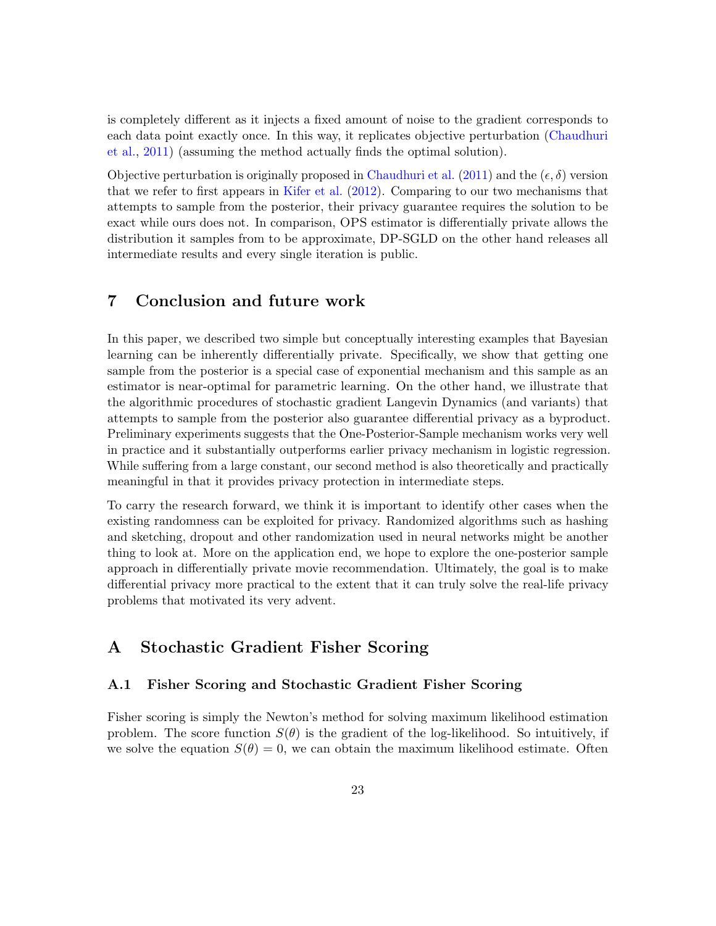is completely different as it injects a fixed amount of noise to the gradient corresponds to each data point exactly once. In this way, it replicates objective perturbation [\(Chaudhuri](#page-26-7) [et al.,](#page-26-7) [2011\)](#page-26-7) (assuming the method actually finds the optimal solution).

Objective perturbation is originally proposed in [Chaudhuri et al.](#page-26-7) [\(2011\)](#page-26-7) and the  $(\epsilon, \delta)$  version that we refer to first appears in [Kifer et al.](#page-27-5) [\(2012\)](#page-27-5). Comparing to our two mechanisms that attempts to sample from the posterior, their privacy guarantee requires the solution to be exact while ours does not. In comparison, OPS estimator is differentially private allows the distribution it samples from to be approximate, DP-SGLD on the other hand releases all intermediate results and every single iteration is public.

# <span id="page-22-0"></span>7 Conclusion and future work

In this paper, we described two simple but conceptually interesting examples that Bayesian learning can be inherently differentially private. Specifically, we show that getting one sample from the posterior is a special case of exponential mechanism and this sample as an estimator is near-optimal for parametric learning. On the other hand, we illustrate that the algorithmic procedures of stochastic gradient Langevin Dynamics (and variants) that attempts to sample from the posterior also guarantee differential privacy as a byproduct. Preliminary experiments suggests that the One-Posterior-Sample mechanism works very well in practice and it substantially outperforms earlier privacy mechanism in logistic regression. While suffering from a large constant, our second method is also theoretically and practically meaningful in that it provides privacy protection in intermediate steps.

To carry the research forward, we think it is important to identify other cases when the existing randomness can be exploited for privacy. Randomized algorithms such as hashing and sketching, dropout and other randomization used in neural networks might be another thing to look at. More on the application end, we hope to explore the one-posterior sample approach in differentially private movie recommendation. Ultimately, the goal is to make differential privacy more practical to the extent that it can truly solve the real-life privacy problems that motivated its very advent.

## <span id="page-22-1"></span>A Stochastic Gradient Fisher Scoring

### <span id="page-22-2"></span>A.1 Fisher Scoring and Stochastic Gradient Fisher Scoring

Fisher scoring is simply the Newton's method for solving maximum likelihood estimation problem. The score function  $S(\theta)$  is the gradient of the log-likelihood. So intuitively, if we solve the equation  $S(\theta) = 0$ , we can obtain the maximum likelihood estimate. Often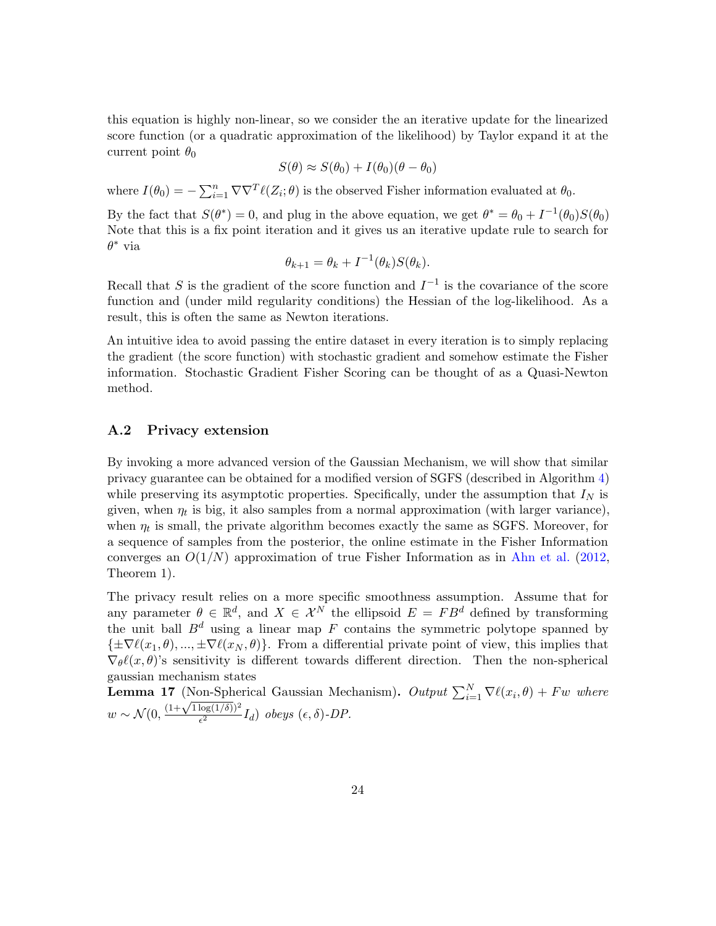this equation is highly non-linear, so we consider the an iterative update for the linearized score function (or a quadratic approximation of the likelihood) by Taylor expand it at the current point  $\theta_0$ 

$$
S(\theta) \approx S(\theta_0) + I(\theta_0)(\theta - \theta_0)
$$

where  $I(\theta_0) = -\sum_{i=1}^n \nabla \nabla^T \ell(Z_i; \theta)$  is the observed Fisher information evaluated at  $\theta_0$ . By the fact that  $S(\theta^*) = 0$ , and plug in the above equation, we get  $\theta^* = \theta_0 + I^{-1}(\theta_0)S(\theta_0)$ Note that this is a fix point iteration and it gives us an iterative update rule to search for  $\theta^*$  via

$$
\theta_{k+1} = \theta_k + I^{-1}(\theta_k)S(\theta_k).
$$

Recall that S is the gradient of the score function and  $I^{-1}$  is the covariance of the score function and (under mild regularity conditions) the Hessian of the log-likelihood. As a result, this is often the same as Newton iterations.

An intuitive idea to avoid passing the entire dataset in every iteration is to simply replacing the gradient (the score function) with stochastic gradient and somehow estimate the Fisher information. Stochastic Gradient Fisher Scoring can be thought of as a Quasi-Newton method.

### <span id="page-23-0"></span>A.2 Privacy extension

By invoking a more advanced version of the Gaussian Mechanism, we will show that similar privacy guarantee can be obtained for a modified version of SGFS (described in Algorithm [4\)](#page-24-0) while preserving its asymptotic properties. Specifically, under the assumption that  $I_N$  is given, when  $\eta_t$  is big, it also samples from a normal approximation (with larger variance), when  $\eta_t$  is small, the private algorithm becomes exactly the same as SGFS. Moreover, for a sequence of samples from the posterior, the online estimate in the Fisher Information converges an  $O(1/N)$  approximation of true Fisher Information as in [Ahn et al.](#page-26-3) [\(2012,](#page-26-3) Theorem 1).

The privacy result relies on a more specific smoothness assumption. Assume that for any parameter  $\theta \in \mathbb{R}^d$ , and  $X \in \mathcal{X}^N$  the ellipsoid  $E = FB^d$  defined by transforming the unit ball  $B^d$  using a linear map F contains the symmetric polytope spanned by  ${\{\pm\nabla\ell(x_1, \theta), ..., \pm\nabla\ell(x_N, \theta)\}}$ . From a differential private point of view, this implies that  $\nabla_{\theta} \ell(x, \theta)$ 's sensitivity is different towards different direction. Then the non-spherical gaussian mechanism states

**Lemma 17** (Non-Spherical Gaussian Mechanism). Output  $\sum_{i=1}^{N} \nabla \ell(x_i, \theta) + F w$  where **Lemma** 17 (Non-Spne)<br> $w \sim \mathcal{N}(0, \frac{(1+\sqrt{1\log(1/\delta)})^2}{\epsilon^2})$  $\frac{\log(1/\theta)}{\epsilon^2} I_d$ ) obeys  $(\epsilon, \delta)$ -DP.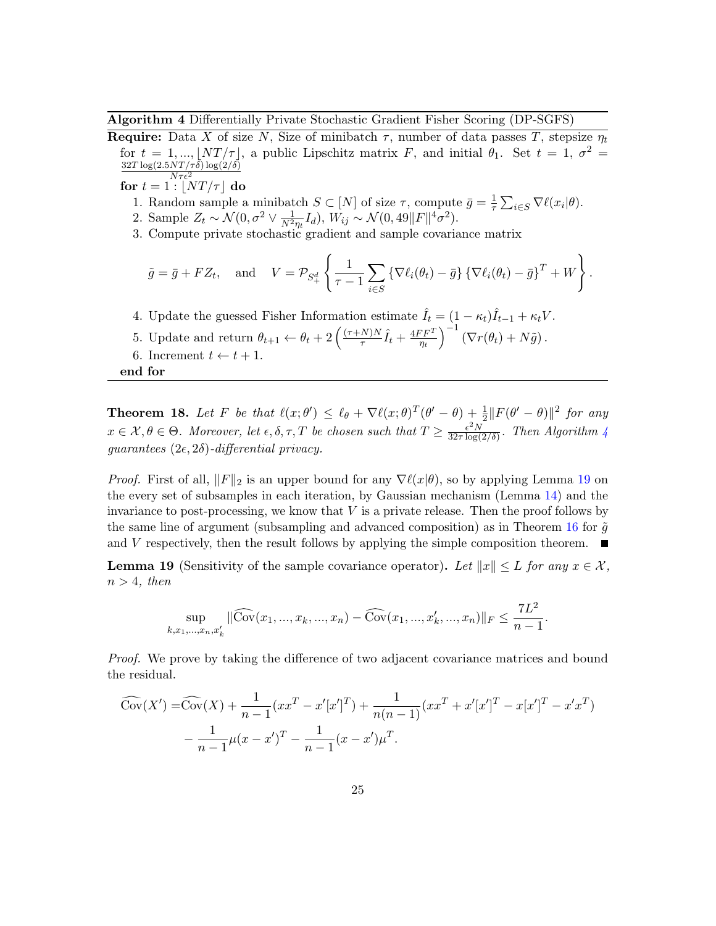<span id="page-24-0"></span>Algorithm 4 Differentially Private Stochastic Gradient Fisher Scoring (DP-SGFS)

**Require:** Data X of size N, Size of minibatch  $\tau$ , number of data passes T, stepsize  $\eta_t$ for  $t = 1, ..., \lfloor NT/\tau \rfloor$ , a public Lipschitz matrix F, and initial  $\theta_1$ . Set  $t = 1, \sigma^2 =$  $32T \log(2.5NT/\tau\delta) \log(2/\delta)$  $N\tau\epsilon^2$ 

for  $t = 1$  :  $|NT/\tau|$  do

- 1. Random sample a minibatch  $S \subset [N]$  of size  $\tau$ , compute  $\bar{g} = \frac{1}{\tau}$  $\frac{1}{\tau} \sum_{i \in S} \nabla \ell(x_i | \theta).$
- 2. Sample  $Z_t \sim \mathcal{N}(0, \sigma^2 \vee \frac{1}{N^2 \eta_t} I_d)$ ,  $W_{ij} \sim \mathcal{N}(0, 49||F||^4 \sigma^2)$ .
- 3. Compute private stochastic gradient and sample covariance matrix

$$
\tilde{g} = \bar{g} + FZ_t
$$
, and  $V = \mathcal{P}_{S_+^d} \left\{ \frac{1}{\tau - 1} \sum_{i \in S} \{ \nabla \ell_i(\theta_t) - \bar{g} \} \{ \nabla \ell_i(\theta_t) - \bar{g} \}^T + W \right\}.$ 

4. Update the guessed Fisher Information estimate  $\hat{I}_t = (1 - \kappa_t)\hat{I}_{t-1} + \kappa_t V$ .

- 5. Update and return  $\theta_{t+1} \leftarrow \theta_t + 2\left(\frac{(\tau+N)N}{\tau}\right)$  $\frac{N)N}{\tau} \hat{I}_t + \frac{4FF^T}{\eta_t}$  $\left(\overline{\nabla r}(\theta_t) + N\tilde{g}\right).$
- 6. Increment  $t \leftarrow t + 1$ .

end for

**Theorem 18.** Let F be that  $\ell(x; \theta') \leq \ell_{\theta} + \nabla \ell(x; \theta)^{T}(\theta' - \theta) + \frac{1}{2} ||F(\theta' - \theta)||^2$  for any  $x \in \mathcal{X}, \theta \in \Theta$ . Moreover, let  $\epsilon, \delta, \tau, T$  be chosen such that  $T \geq \frac{\epsilon^2 N}{32\tau \log T}$  $\frac{\epsilon^2 N}{32\tau \log(2/\delta)}$ . Then Algorithm [4](#page-24-0) guarantees  $(2\epsilon, 2\delta)$ -differential privacy.

*Proof.* First of all,  $||F||_2$  is an upper bound for any  $\nabla \ell(x|\theta)$ , so by applying Lemma [19](#page-24-1) on the every set of subsamples in each iteration, by Gaussian mechanism (Lemma [14\)](#page-12-3) and the invariance to post-processing, we know that  $V$  is a private release. Then the proof follows by the same line of argument (subsampling and advanced composition) as in Theorem [16](#page-13-1) for  $\tilde{g}$ and V respectively, then the result follows by applying the simple composition theorem.  $\sim$ 

<span id="page-24-1"></span>**Lemma 19** (Sensitivity of the sample covariance operator). Let  $||x|| \leq L$  for any  $x \in \mathcal{X}$ ,  $n > 4$ , then

$$
\sup_{k,x_1,\dots,x_n,x'_k} \|\widehat{\text{Cov}}(x_1,\dots,x_k,\dots,x_n) - \widehat{\text{Cov}}(x_1,\dots,x'_k,\dots,x_n)\|_F \le \frac{7L^2}{n-1}.
$$

*Proof.* We prove by taking the difference of two adjacent covariance matrices and bound the residual.

$$
\widehat{\mathrm{Cov}}(X') = \widehat{\mathrm{Cov}}(X) + \frac{1}{n-1} (xx^T - x'[x']^T) + \frac{1}{n(n-1)} (xx^T + x'[x']^T - x[x']^T - x'x^T)
$$

$$
-\frac{1}{n-1} \mu (x - x')^T - \frac{1}{n-1} (x - x') \mu^T.
$$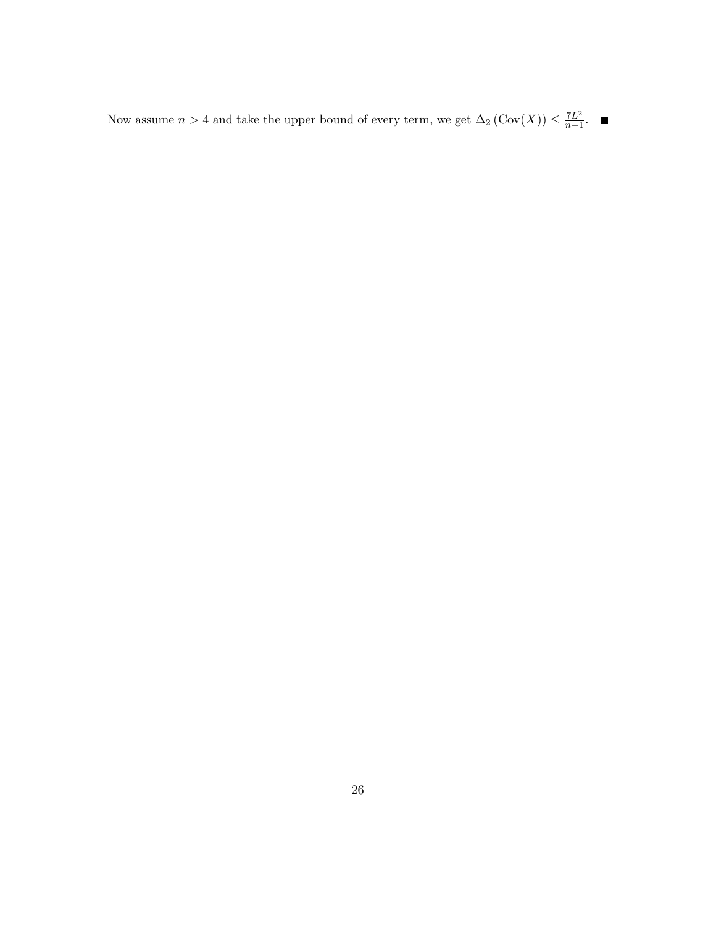Now assume  $n > 4$  and take the upper bound of every term, we get  $\Delta_2 (\text{Cov}(X)) \leq \frac{7L^2}{n-1}$  $rac{L^2}{n-1}$ .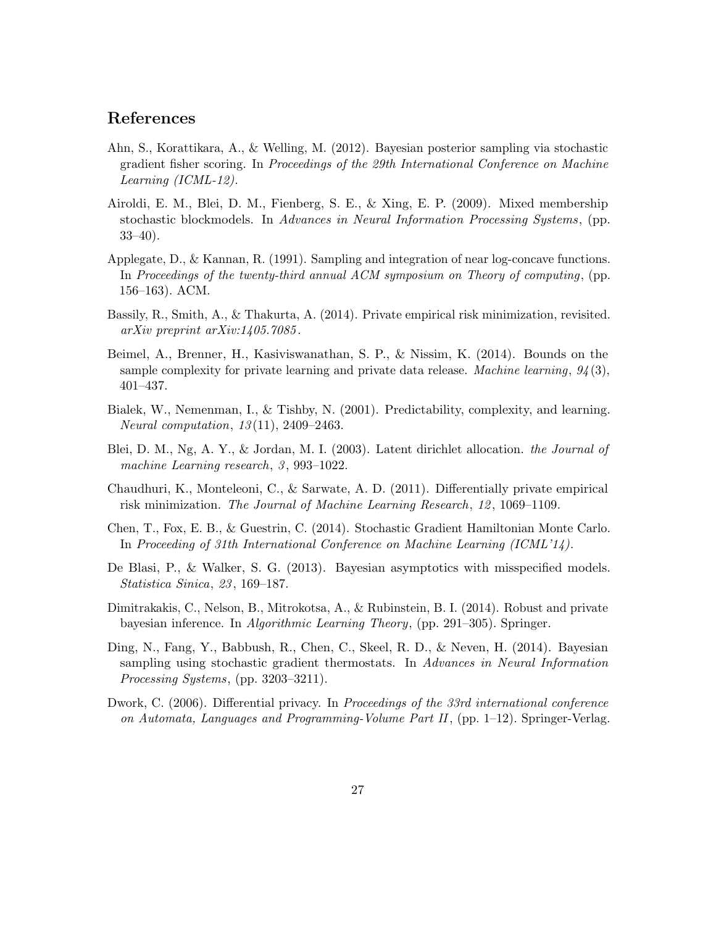## References

- <span id="page-26-3"></span>Ahn, S., Korattikara, A., & Welling, M. (2012). Bayesian posterior sampling via stochastic gradient fisher scoring. In Proceedings of the 29th International Conference on Machine Learning (ICML-12).
- <span id="page-26-1"></span>Airoldi, E. M., Blei, D. M., Fienberg, S. E., & Xing, E. P. (2009). Mixed membership stochastic blockmodels. In Advances in Neural Information Processing Systems, (pp. 33–40).
- <span id="page-26-11"></span>Applegate, D., & Kannan, R. (1991). Sampling and integration of near log-concave functions. In Proceedings of the twenty-third annual ACM symposium on Theory of computing, (pp. 156–163). ACM.
- <span id="page-26-8"></span>Bassily, R., Smith, A., & Thakurta, A. (2014). Private empirical risk minimization, revisited. arXiv preprint arXiv:1405.7085 .
- <span id="page-26-12"></span>Beimel, A., Brenner, H., Kasiviswanathan, S. P., & Nissim, K. (2014). Bounds on the sample complexity for private learning and private data release. Machine learning,  $94(3)$ , 401–437.
- <span id="page-26-9"></span>Bialek, W., Nemenman, I., & Tishby, N. (2001). Predictability, complexity, and learning. Neural computation, 13 (11), 2409–2463.
- <span id="page-26-0"></span>Blei, D. M., Ng, A. Y., & Jordan, M. I. (2003). Latent dirichlet allocation. the Journal of machine Learning research, 3, 993–1022.
- <span id="page-26-7"></span>Chaudhuri, K., Monteleoni, C., & Sarwate, A. D. (2011). Differentially private empirical risk minimization. The Journal of Machine Learning Research, 12 , 1069–1109.
- <span id="page-26-4"></span>Chen, T., Fox, E. B., & Guestrin, C. (2014). Stochastic Gradient Hamiltonian Monte Carlo. In Proceeding of 31th International Conference on Machine Learning (ICML'14).
- <span id="page-26-10"></span>De Blasi, P., & Walker, S. G. (2013). Bayesian asymptotics with misspecified models. Statistica Sinica, 23 , 169–187.
- <span id="page-26-6"></span>Dimitrakakis, C., Nelson, B., Mitrokotsa, A., & Rubinstein, B. I. (2014). Robust and private bayesian inference. In Algorithmic Learning Theory, (pp. 291–305). Springer.
- <span id="page-26-5"></span>Ding, N., Fang, Y., Babbush, R., Chen, C., Skeel, R. D., & Neven, H. (2014). Bayesian sampling using stochastic gradient thermostats. In Advances in Neural Information Processing Systems, (pp. 3203–3211).
- <span id="page-26-2"></span>Dwork, C. (2006). Differential privacy. In Proceedings of the 33rd international conference on Automata, Languages and Programming-Volume Part II,  $(pp. 1-12)$ . Springer-Verlag.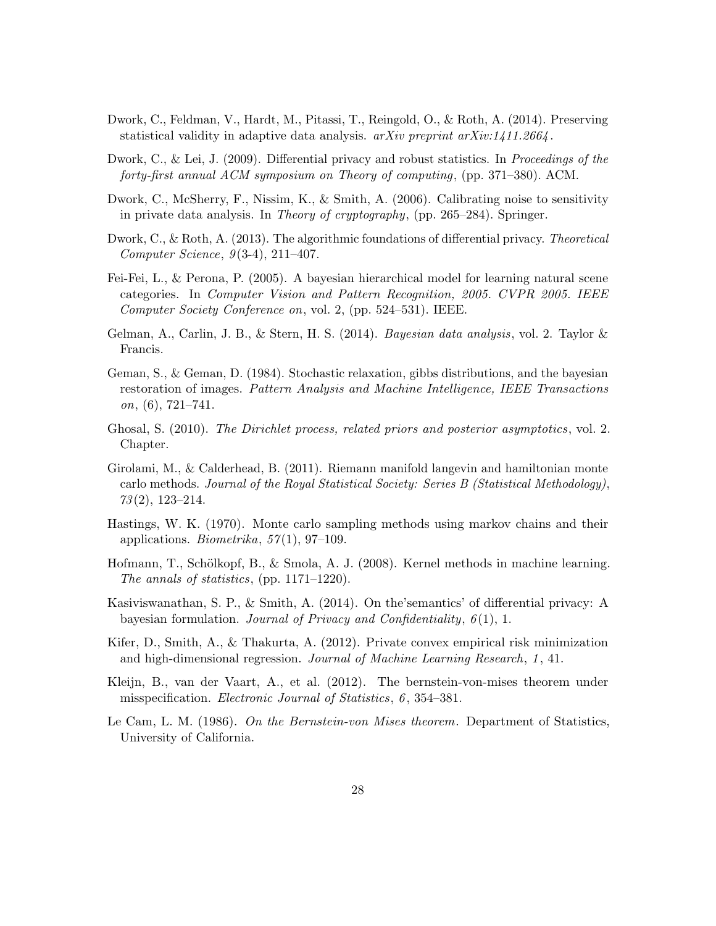- <span id="page-27-12"></span>Dwork, C., Feldman, V., Hardt, M., Pitassi, T., Reingold, O., & Roth, A. (2014). Preserving statistical validity in adaptive data analysis.  $arXiv$  preprint  $arXiv:1411.2664$ .
- <span id="page-27-8"></span>Dwork, C., & Lei, J. (2009). Differential privacy and robust statistics. In Proceedings of the forty-first annual ACM symposium on Theory of computing, (pp. 371–380). ACM.
- <span id="page-27-3"></span>Dwork, C., McSherry, F., Nissim, K., & Smith, A. (2006). Calibrating noise to sensitivity in private data analysis. In Theory of cryptography, (pp. 265–284). Springer.
- <span id="page-27-7"></span>Dwork, C., & Roth, A. (2013). The algorithmic foundations of differential privacy. Theoretical Computer Science,  $9(3-4)$ ,  $211-407$ .
- <span id="page-27-2"></span>Fei-Fei, L., & Perona, P. (2005). A bayesian hierarchical model for learning natural scene categories. In Computer Vision and Pattern Recognition, 2005. CVPR 2005. IEEE Computer Society Conference on, vol. 2, (pp. 524–531). IEEE.
- <span id="page-27-1"></span>Gelman, A., Carlin, J. B., & Stern, H. S. (2014). Bayesian data analysis, vol. 2. Taylor & Francis.
- <span id="page-27-0"></span>Geman, S., & Geman, D. (1984). Stochastic relaxation, gibbs distributions, and the bayesian restoration of images. Pattern Analysis and Machine Intelligence, IEEE Transactions  $\,0, (6), 721-741.$
- <span id="page-27-10"></span>Ghosal, S. (2010). The Dirichlet process, related priors and posterior asymptotics, vol. 2. Chapter.
- <span id="page-27-13"></span>Girolami, M., & Calderhead, B. (2011). Riemann manifold langevin and hamiltonian monte carlo methods. Journal of the Royal Statistical Society: Series B (Statistical Methodology),  $73(2), 123-214.$
- <span id="page-27-6"></span>Hastings, W. K. (1970). Monte carlo sampling methods using markov chains and their applications. *Biometrika*,  $57(1)$ ,  $97-109$ .
- <span id="page-27-9"></span>Hofmann, T., Schölkopf, B., & Smola, A. J. (2008). Kernel methods in machine learning. The annals of statistics, (pp. 1171–1220).
- <span id="page-27-14"></span>Kasiviswanathan, S. P., & Smith, A. (2014). On the'semantics' of differential privacy: A bayesian formulation. Journal of Privacy and Confidentiality,  $6(1)$ , 1.
- <span id="page-27-5"></span>Kifer, D., Smith, A., & Thakurta, A. (2012). Private convex empirical risk minimization and high-dimensional regression. Journal of Machine Learning Research, 1 , 41.
- <span id="page-27-11"></span>Kleijn, B., van der Vaart, A., et al. (2012). The bernstein-von-mises theorem under misspecification. *Electronic Journal of Statistics*, 6, 354–381.
- <span id="page-27-4"></span>Le Cam, L. M. (1986). On the Bernstein-von Mises theorem. Department of Statistics, University of California.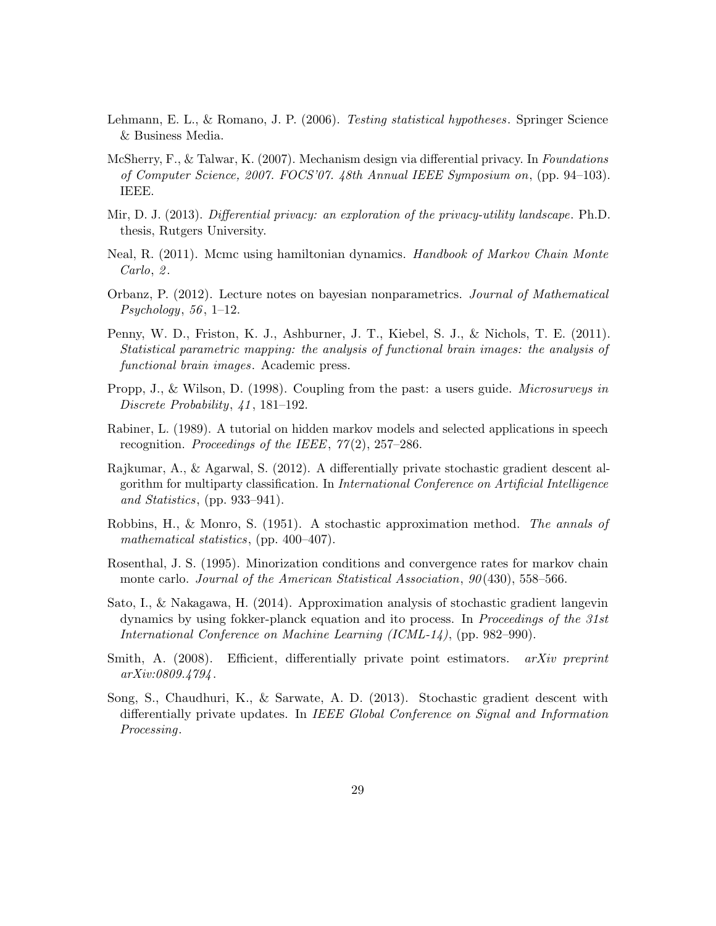- <span id="page-28-8"></span>Lehmann, E. L., & Romano, J. P. (2006). *Testing statistical hypotheses*. Springer Science & Business Media.
- <span id="page-28-3"></span>McSherry, F., & Talwar, K. (2007). Mechanism design via differential privacy. In Foundations of Computer Science, 2007. FOCS'07. 48th Annual IEEE Symposium on, (pp. 94–103). IEEE.
- <span id="page-28-2"></span>Mir, D. J. (2013). Differential privacy: an exploration of the privacy-utility landscape. Ph.D. thesis, Rutgers University.
- <span id="page-28-5"></span>Neal, R. (2011). Mcmc using hamiltonian dynamics. Handbook of Markov Chain Monte Carlo, 2.
- <span id="page-28-7"></span>Orbanz, P. (2012). Lecture notes on bayesian nonparametrics. Journal of Mathematical  $Psychology, 56, 1-12.$
- <span id="page-28-1"></span>Penny, W. D., Friston, K. J., Ashburner, J. T., Kiebel, S. J., & Nichols, T. E. (2011). Statistical parametric mapping: the analysis of functional brain images: the analysis of functional brain images. Academic press.
- <span id="page-28-9"></span>Propp, J., & Wilson, D. (1998). Coupling from the past: a users guide. Microsurveys in Discrete Probability, 41, 181–192.
- <span id="page-28-0"></span>Rabiner, L. (1989). A tutorial on hidden markov models and selected applications in speech recognition. Proceedings of the IEEE,  $77(2)$ ,  $257-286$ .
- <span id="page-28-13"></span>Rajkumar, A., & Agarwal, S. (2012). A differentially private stochastic gradient descent algorithm for multiparty classification. In International Conference on Artificial Intelligence and Statistics, (pp. 933–941).
- <span id="page-28-4"></span>Robbins, H., & Monro, S. (1951). A stochastic approximation method. The annals of mathematical statistics, (pp. 400–407).
- <span id="page-28-10"></span>Rosenthal, J. S. (1995). Minorization conditions and convergence rates for markov chain monte carlo. Journal of the American Statistical Association,  $90(430)$ , 558–566.
- <span id="page-28-11"></span>Sato, I., & Nakagawa, H. (2014). Approximation analysis of stochastic gradient langevin dynamics by using fokker-planck equation and ito process. In Proceedings of the 31st International Conference on Machine Learning (ICML-14), (pp. 982–990).
- <span id="page-28-12"></span>Smith, A.  $(2008)$ . Efficient, differentially private point estimators. *arXiv preprint* arXiv:0809.4794 .
- <span id="page-28-6"></span>Song, S., Chaudhuri, K., & Sarwate, A. D. (2013). Stochastic gradient descent with differentially private updates. In IEEE Global Conference on Signal and Information Processing.